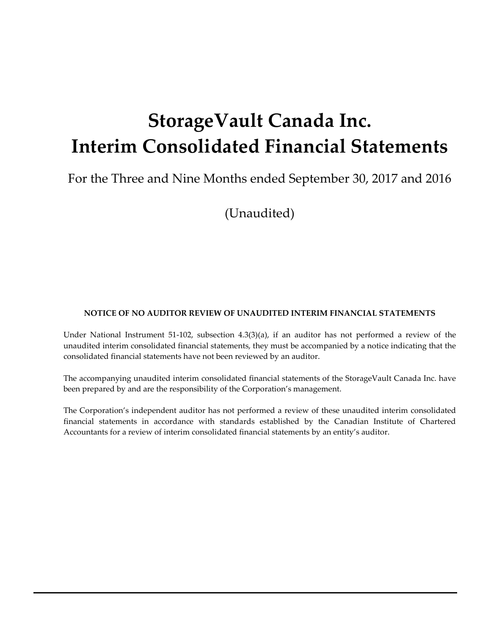# **StorageVault Canada Inc. Interim Consolidated Financial Statements**

For the Three and Nine Months ended September 30, 2017 and 2016

(Unaudited)

#### **NOTICE OF NO AUDITOR REVIEW OF UNAUDITED INTERIM FINANCIAL STATEMENTS**

Under National Instrument 51-102, subsection 4.3(3)(a), if an auditor has not performed a review of the unaudited interim consolidated financial statements, they must be accompanied by a notice indicating that the consolidated financial statements have not been reviewed by an auditor.

The accompanying unaudited interim consolidated financial statements of the StorageVault Canada Inc. have been prepared by and are the responsibility of the Corporation's management.

The Corporation's independent auditor has not performed a review of these unaudited interim consolidated financial statements in accordance with standards established by the Canadian Institute of Chartered Accountants for a review of interim consolidated financial statements by an entity's auditor.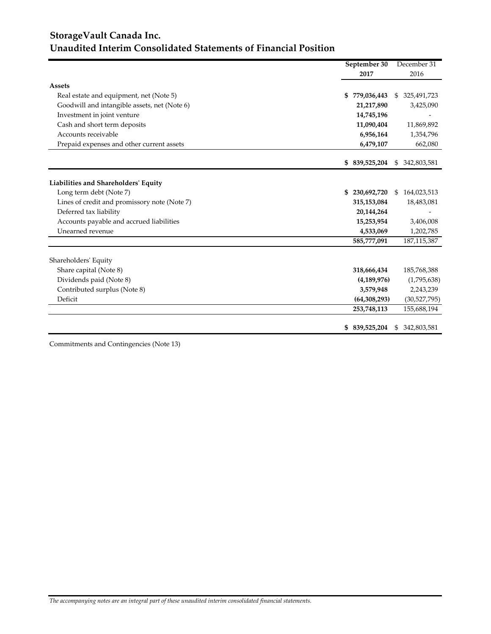## **StorageVault Canada Inc. Unaudited Interim Consolidated Statements of Financial Position**

|                                              | September 30      | December 31                  |
|----------------------------------------------|-------------------|------------------------------|
|                                              | 2017              | 2016                         |
| <b>Assets</b>                                |                   |                              |
| Real estate and equipment, net (Note 5)      | 779,036,443<br>S  | 325,491,723<br>\$            |
| Goodwill and intangible assets, net (Note 6) | 21,217,890        | 3,425,090                    |
| Investment in joint venture                  | 14,745,196        |                              |
| Cash and short term deposits                 | 11,090,404        | 11,869,892                   |
| Accounts receivable                          | 6,956,164         | 1,354,796                    |
| Prepaid expenses and other current assets    | 6,479,107         | 662,080                      |
|                                              | 839,525,204<br>\$ | 342,803,581<br><sup>\$</sup> |
| Liabilities and Shareholders' Equity         |                   |                              |
| Long term debt (Note 7)                      | \$<br>230,692,720 | 164,023,513<br>\$            |
| Lines of credit and promissory note (Note 7) | 315,153,084       | 18,483,081                   |
| Deferred tax liability                       | 20,144,264        |                              |
| Accounts payable and accrued liabilities     | 15,253,954        | 3,406,008                    |
| Unearned revenue                             | 4,533,069         | 1,202,785                    |
|                                              | 585,777,091       | 187, 115, 387                |
| Shareholders' Equity                         |                   |                              |
| Share capital (Note 8)                       | 318,666,434       | 185,768,388                  |
| Dividends paid (Note 8)                      | (4, 189, 976)     | (1,795,638)                  |
| Contributed surplus (Note 8)                 | 3,579,948         | 2,243,239                    |
| Deficit                                      | (64, 308, 293)    | (30,527,795)                 |
|                                              | 253,748,113       | 155,688,194                  |
|                                              | 839,525,204<br>\$ | 342,803,581<br>S.            |

Commitments and Contingencies (Note 13)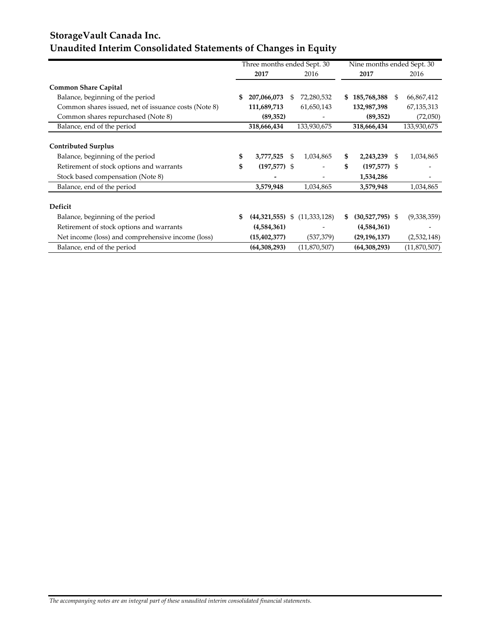## **StorageVault Canada Inc. Unaudited Interim Consolidated Statements of Changes in Equity**

|                                                      | Three months ended Sept. 30 |     | Nine months ended Sept. 30 |    |                   |                  |
|------------------------------------------------------|-----------------------------|-----|----------------------------|----|-------------------|------------------|
|                                                      | 2017                        |     | 2016                       |    | 2017              | 2016             |
| <b>Common Share Capital</b>                          |                             |     |                            |    |                   |                  |
| Balance, beginning of the period                     | 207,066,073                 | \$. | 72,280,532                 | S  | 185,768,388       | \$<br>66,867,412 |
| Common shares issued, net of issuance costs (Note 8) | 111,689,713                 |     | 61,650,143                 |    | 132,987,398       | 67, 135, 313     |
| Common shares repurchased (Note 8)                   | (89, 352)                   |     |                            |    | (89, 352)         | (72,050)         |
| Balance, end of the period                           | 318,666,434                 |     | 133,930,675                |    | 318,666,434       | 133,930,675      |
| <b>Contributed Surplus</b>                           |                             |     |                            |    |                   |                  |
| Balance, beginning of the period                     | \$<br>3,777,525             | \$  | 1,034,865                  | \$ | 2,243,239         | \$<br>1,034,865  |
| Retirement of stock options and warrants             | \$<br>$(197,577)$ \$        |     |                            | \$ | $(197,577)$ \$    |                  |
| Stock based compensation (Note 8)                    |                             |     |                            |    | 1,534,286         |                  |
| Balance, end of the period                           | 3,579,948                   |     | 1,034,865                  |    | 3,579,948         | 1,034,865        |
| Deficit                                              |                             |     |                            |    |                   |                  |
| Balance, beginning of the period                     | \$<br>(44,321,555)          | \$  | (11, 333, 128)             | S  | $(30,527,795)$ \$ | (9,338,359)      |
| Retirement of stock options and warrants             | (4,584,361)                 |     |                            |    | (4,584,361)       |                  |
| Net income (loss) and comprehensive income (loss)    | (15, 402, 377)              |     | (537, 379)                 |    | (29, 196, 137)    | (2,532,148)      |
| Balance, end of the period                           | (64, 308, 293)              |     | (11,870,507)               |    | (64, 308, 293)    | (11,870,507)     |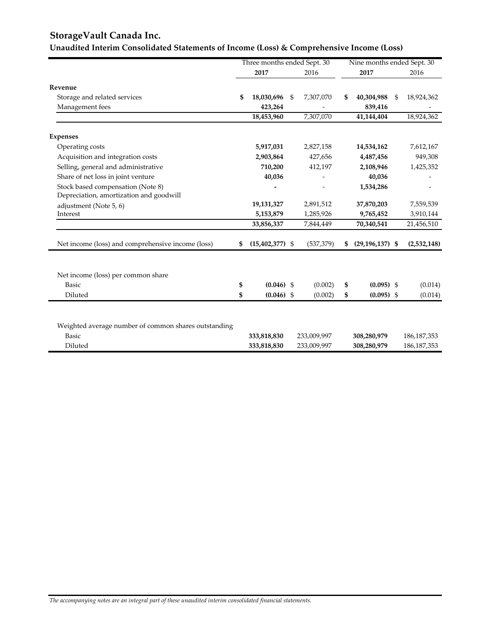## **StorageVault Canada Inc.**

## **Unaudited Interim Consolidated Statements of Income (Loss) & Comprehensive Income (Loss)**

|                                                      |    | Three months ended Sept. 30 |                 |    | Nine months ended Sept. 30 |                  |
|------------------------------------------------------|----|-----------------------------|-----------------|----|----------------------------|------------------|
|                                                      |    | 2017                        | 2016            |    | 2017                       | 2016             |
| Revenue                                              |    |                             |                 |    |                            |                  |
| Storage and related services                         | \$ | 18,030,696                  | \$<br>7,307,070 | \$ | 40,304,988                 | \$<br>18,924,362 |
| Management fees                                      |    | 423,264                     |                 |    | 839,416                    |                  |
|                                                      |    | 18,453,960                  | 7,307,070       |    | 41,144,404                 | 18,924,362       |
| <b>Expenses</b>                                      |    |                             |                 |    |                            |                  |
| Operating costs                                      |    | 5,917,031                   | 2,827,158       |    | 14,534,162                 | 7,612,167        |
| Acquisition and integration costs                    |    | 2,903,864                   | 427,656         |    | 4,487,456                  | 949,308          |
| Selling, general and administrative                  |    | 710,200                     | 412,197         |    | 2,108,946                  | 1,425,352        |
| Share of net loss in joint venture                   |    | 40,036                      |                 |    | 40,036                     |                  |
| Stock based compensation (Note 8)                    |    |                             |                 |    | 1,534,286                  |                  |
| Depreciation, amortization and goodwill              |    |                             |                 |    |                            |                  |
| adjustment (Note 5, 6)                               |    | 19,131,327                  | 2,891,512       |    | 37,870,203                 | 7,559,539        |
| Interest                                             |    | 5,153,879                   | 1,285,926       |    | 9,765,452                  | 3,910,144        |
|                                                      |    | 33,856,337                  | 7,844,449       |    | 70,340,541                 | 21,456,510       |
| Net income (loss) and comprehensive income (loss)    | S  | $(15,402,377)$ \$           | (537, 379)      | S  | $(29, 196, 137)$ \$        | (2,532,148)      |
|                                                      |    |                             |                 |    |                            |                  |
| Net income (loss) per common share                   |    |                             |                 |    |                            |                  |
| <b>Basic</b>                                         | \$ | $(0.046)$ \$                | (0.002)         | \$ | $(0.095)$ \$               | (0.014)          |
| Diluted                                              | \$ | $(0.046)$ \$                | (0.002)         | \$ | $(0.095)$ \$               | (0.014)          |
|                                                      |    |                             |                 |    |                            |                  |
| Weighted average number of common shares outstanding |    |                             |                 |    |                            |                  |
| <b>Basic</b>                                         |    | 333,818,830                 | 233,009,997     |    | 308,280,979                | 186, 187, 353    |
| Diluted                                              |    | 333,818,830                 | 233,009,997     |    | 308,280,979                | 186, 187, 353    |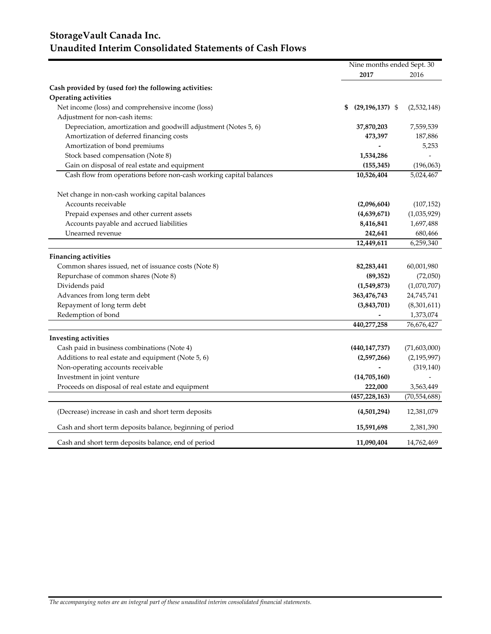## **StorageVault Canada Inc. Unaudited Interim Consolidated Statements of Cash Flows**

|                                                                    | Nine months ended Sept. 30 |                |  |
|--------------------------------------------------------------------|----------------------------|----------------|--|
|                                                                    | 2017                       | 2016           |  |
| Cash provided by (used for) the following activities:              |                            |                |  |
| <b>Operating activities</b>                                        |                            |                |  |
| Net income (loss) and comprehensive income (loss)                  | $(29, 196, 137)$ \$<br>\$  | (2,532,148)    |  |
| Adjustment for non-cash items:                                     |                            |                |  |
| Depreciation, amortization and goodwill adjustment (Notes 5, 6)    | 37,870,203                 | 7,559,539      |  |
| Amortization of deferred financing costs                           | 473,397                    | 187,886        |  |
| Amortization of bond premiums                                      |                            | 5,253          |  |
| Stock based compensation (Note 8)                                  | 1,534,286                  |                |  |
| Gain on disposal of real estate and equipment                      | (155, 345)                 | (196,063)      |  |
| Cash flow from operations before non-cash working capital balances | 10,526,404                 | 5,024,467      |  |
| Net change in non-cash working capital balances                    |                            |                |  |
| Accounts receivable                                                | (2,096,604)                | (107, 152)     |  |
| Prepaid expenses and other current assets                          | (4,639,671)                | (1,035,929)    |  |
| Accounts payable and accrued liabilities                           | 8,416,841                  | 1,697,488      |  |
| Unearned revenue                                                   | 242,641                    | 680,466        |  |
|                                                                    | 12,449,611                 | 6,259,340      |  |
| <b>Financing activities</b>                                        |                            |                |  |
| Common shares issued, net of issuance costs (Note 8)               | 82,283,441                 | 60,001,980     |  |
| Repurchase of common shares (Note 8)                               | (89, 352)                  | (72,050)       |  |
| Dividends paid                                                     | (1,549,873)                | (1,070,707)    |  |
| Advances from long term debt                                       | 363,476,743                | 24,745,741     |  |
| Repayment of long term debt                                        | (3,843,701)                | (8,301,611)    |  |
| Redemption of bond                                                 |                            | 1,373,074      |  |
|                                                                    | 440,277,258                | 76,676,427     |  |
| <b>Investing activities</b>                                        |                            |                |  |
| Cash paid in business combinations (Note 4)                        | (440, 147, 737)            | (71,603,000)   |  |
| Additions to real estate and equipment (Note 5, 6)                 | (2,597,266)                | (2, 195, 997)  |  |
| Non-operating accounts receivable                                  |                            | (319, 140)     |  |
| Investment in joint venture                                        | (14,705,160)               |                |  |
| Proceeds on disposal of real estate and equipment                  | 222,000                    | 3,563,449      |  |
|                                                                    | (457, 228, 163)            | (70, 554, 688) |  |
| (Decrease) increase in cash and short term deposits                | (4,501,294)                | 12,381,079     |  |
| Cash and short term deposits balance, beginning of period          | 15,591,698                 | 2,381,390      |  |
| Cash and short term deposits balance, end of period                | 11,090,404                 | 14,762,469     |  |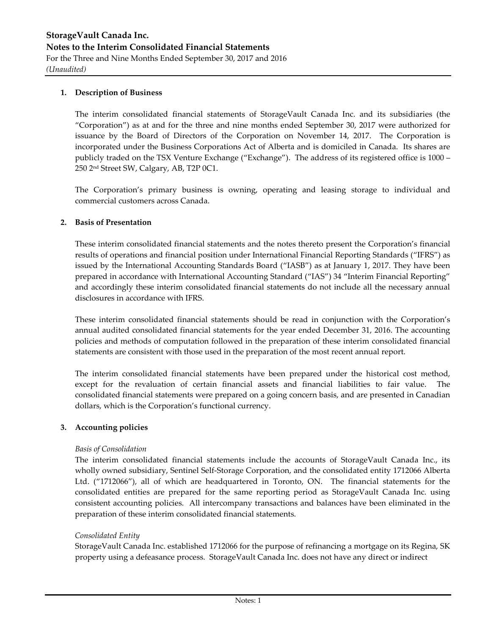#### **1. Description of Business**

The interim consolidated financial statements of StorageVault Canada Inc. and its subsidiaries (the "Corporation") as at and for the three and nine months ended September 30, 2017 were authorized for issuance by the Board of Directors of the Corporation on November 14, 2017. The Corporation is incorporated under the Business Corporations Act of Alberta and is domiciled in Canada. Its shares are publicly traded on the TSX Venture Exchange ("Exchange"). The address of its registered office is 1000 – 250 2nd Street SW, Calgary, AB, T2P 0C1.

The Corporation's primary business is owning, operating and leasing storage to individual and commercial customers across Canada.

#### **2. Basis of Presentation**

These interim consolidated financial statements and the notes thereto present the Corporation's financial results of operations and financial position under International Financial Reporting Standards ("IFRS") as issued by the International Accounting Standards Board ("IASB") as at January 1, 2017. They have been prepared in accordance with International Accounting Standard ("IAS") 34 "Interim Financial Reporting" and accordingly these interim consolidated financial statements do not include all the necessary annual disclosures in accordance with IFRS.

These interim consolidated financial statements should be read in conjunction with the Corporation's annual audited consolidated financial statements for the year ended December 31, 2016. The accounting policies and methods of computation followed in the preparation of these interim consolidated financial statements are consistent with those used in the preparation of the most recent annual report.

The interim consolidated financial statements have been prepared under the historical cost method, except for the revaluation of certain financial assets and financial liabilities to fair value. The consolidated financial statements were prepared on a going concern basis, and are presented in Canadian dollars, which is the Corporation's functional currency.

#### **3. Accounting policies**

#### *Basis of Consolidation*

The interim consolidated financial statements include the accounts of StorageVault Canada Inc., its wholly owned subsidiary, Sentinel Self-Storage Corporation, and the consolidated entity 1712066 Alberta Ltd. ("1712066"), all of which are headquartered in Toronto, ON. The financial statements for the consolidated entities are prepared for the same reporting period as StorageVault Canada Inc. using consistent accounting policies. All intercompany transactions and balances have been eliminated in the preparation of these interim consolidated financial statements.

#### *Consolidated Entity*

StorageVault Canada Inc. established 1712066 for the purpose of refinancing a mortgage on its Regina, SK property using a defeasance process. StorageVault Canada Inc. does not have any direct or indirect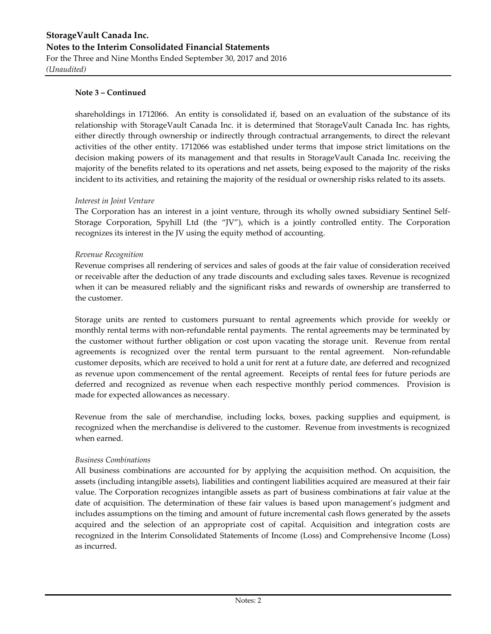shareholdings in 1712066. An entity is consolidated if, based on an evaluation of the substance of its relationship with StorageVault Canada Inc. it is determined that StorageVault Canada Inc. has rights, either directly through ownership or indirectly through contractual arrangements, to direct the relevant activities of the other entity. 1712066 was established under terms that impose strict limitations on the decision making powers of its management and that results in StorageVault Canada Inc. receiving the majority of the benefits related to its operations and net assets, being exposed to the majority of the risks incident to its activities, and retaining the majority of the residual or ownership risks related to its assets.

#### *Interest in Joint Venture*

The Corporation has an interest in a joint venture, through its wholly owned subsidiary Sentinel Self-Storage Corporation, Spyhill Ltd (the "JV"), which is a jointly controlled entity. The Corporation recognizes its interest in the JV using the equity method of accounting.

#### *Revenue Recognition*

Revenue comprises all rendering of services and sales of goods at the fair value of consideration received or receivable after the deduction of any trade discounts and excluding sales taxes. Revenue is recognized when it can be measured reliably and the significant risks and rewards of ownership are transferred to the customer.

Storage units are rented to customers pursuant to rental agreements which provide for weekly or monthly rental terms with non-refundable rental payments. The rental agreements may be terminated by the customer without further obligation or cost upon vacating the storage unit. Revenue from rental agreements is recognized over the rental term pursuant to the rental agreement. Non-refundable customer deposits, which are received to hold a unit for rent at a future date, are deferred and recognized as revenue upon commencement of the rental agreement. Receipts of rental fees for future periods are deferred and recognized as revenue when each respective monthly period commences. Provision is made for expected allowances as necessary.

Revenue from the sale of merchandise, including locks, boxes, packing supplies and equipment, is recognized when the merchandise is delivered to the customer. Revenue from investments is recognized when earned.

#### *Business Combinations*

All business combinations are accounted for by applying the acquisition method. On acquisition, the assets (including intangible assets), liabilities and contingent liabilities acquired are measured at their fair value. The Corporation recognizes intangible assets as part of business combinations at fair value at the date of acquisition. The determination of these fair values is based upon management's judgment and includes assumptions on the timing and amount of future incremental cash flows generated by the assets acquired and the selection of an appropriate cost of capital. Acquisition and integration costs are recognized in the Interim Consolidated Statements of Income (Loss) and Comprehensive Income (Loss) as incurred.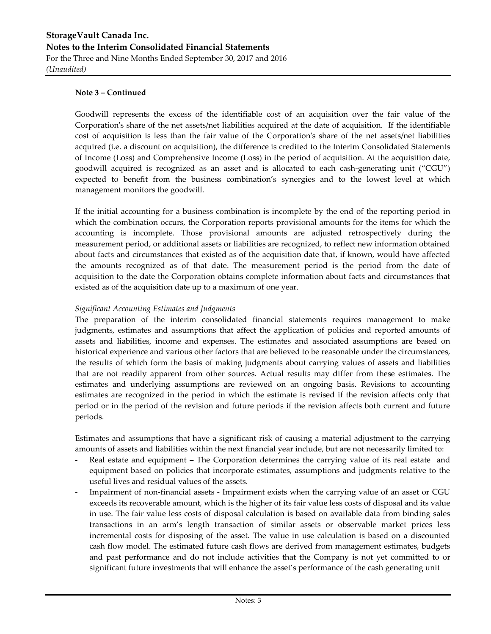Goodwill represents the excess of the identifiable cost of an acquisition over the fair value of the Corporation's share of the net assets/net liabilities acquired at the date of acquisition. If the identifiable cost of acquisition is less than the fair value of the Corporation's share of the net assets/net liabilities acquired (i.e. a discount on acquisition), the difference is credited to the Interim Consolidated Statements of Income (Loss) and Comprehensive Income (Loss) in the period of acquisition. At the acquisition date, goodwill acquired is recognized as an asset and is allocated to each cash-generating unit ("CGU") expected to benefit from the business combination's synergies and to the lowest level at which management monitors the goodwill.

If the initial accounting for a business combination is incomplete by the end of the reporting period in which the combination occurs, the Corporation reports provisional amounts for the items for which the accounting is incomplete. Those provisional amounts are adjusted retrospectively during the measurement period, or additional assets or liabilities are recognized, to reflect new information obtained about facts and circumstances that existed as of the acquisition date that, if known, would have affected the amounts recognized as of that date. The measurement period is the period from the date of acquisition to the date the Corporation obtains complete information about facts and circumstances that existed as of the acquisition date up to a maximum of one year.

#### *Significant Accounting Estimates and Judgments*

The preparation of the interim consolidated financial statements requires management to make judgments, estimates and assumptions that affect the application of policies and reported amounts of assets and liabilities, income and expenses. The estimates and associated assumptions are based on historical experience and various other factors that are believed to be reasonable under the circumstances, the results of which form the basis of making judgments about carrying values of assets and liabilities that are not readily apparent from other sources. Actual results may differ from these estimates. The estimates and underlying assumptions are reviewed on an ongoing basis. Revisions to accounting estimates are recognized in the period in which the estimate is revised if the revision affects only that period or in the period of the revision and future periods if the revision affects both current and future periods.

Estimates and assumptions that have a significant risk of causing a material adjustment to the carrying amounts of assets and liabilities within the next financial year include, but are not necessarily limited to:

- Real estate and equipment The Corporation determines the carrying value of its real estate and equipment based on policies that incorporate estimates, assumptions and judgments relative to the useful lives and residual values of the assets.
- Impairment of non-financial assets Impairment exists when the carrying value of an asset or CGU exceeds its recoverable amount, which is the higher of its fair value less costs of disposal and its value in use. The fair value less costs of disposal calculation is based on available data from binding sales transactions in an arm's length transaction of similar assets or observable market prices less incremental costs for disposing of the asset. The value in use calculation is based on a discounted cash flow model. The estimated future cash flows are derived from management estimates, budgets and past performance and do not include activities that the Company is not yet committed to or significant future investments that will enhance the asset's performance of the cash generating unit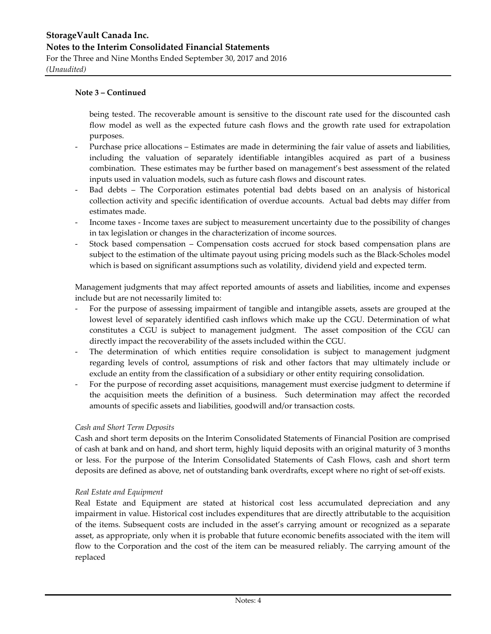being tested. The recoverable amount is sensitive to the discount rate used for the discounted cash flow model as well as the expected future cash flows and the growth rate used for extrapolation purposes.

- Purchase price allocations Estimates are made in determining the fair value of assets and liabilities, including the valuation of separately identifiable intangibles acquired as part of a business combination. These estimates may be further based on management's best assessment of the related inputs used in valuation models, such as future cash flows and discount rates.
- Bad debts The Corporation estimates potential bad debts based on an analysis of historical collection activity and specific identification of overdue accounts. Actual bad debts may differ from estimates made.
- Income taxes Income taxes are subject to measurement uncertainty due to the possibility of changes in tax legislation or changes in the characterization of income sources.
- Stock based compensation Compensation costs accrued for stock based compensation plans are subject to the estimation of the ultimate payout using pricing models such as the Black-Scholes model which is based on significant assumptions such as volatility, dividend yield and expected term.

Management judgments that may affect reported amounts of assets and liabilities, income and expenses include but are not necessarily limited to:

- For the purpose of assessing impairment of tangible and intangible assets, assets are grouped at the lowest level of separately identified cash inflows which make up the CGU. Determination of what constitutes a CGU is subject to management judgment. The asset composition of the CGU can directly impact the recoverability of the assets included within the CGU.
- The determination of which entities require consolidation is subject to management judgment regarding levels of control, assumptions of risk and other factors that may ultimately include or exclude an entity from the classification of a subsidiary or other entity requiring consolidation.
- For the purpose of recording asset acquisitions, management must exercise judgment to determine if the acquisition meets the definition of a business. Such determination may affect the recorded amounts of specific assets and liabilities, goodwill and/or transaction costs.

#### *Cash and Short Term Deposits*

Cash and short term deposits on the Interim Consolidated Statements of Financial Position are comprised of cash at bank and on hand, and short term, highly liquid deposits with an original maturity of 3 months or less. For the purpose of the Interim Consolidated Statements of Cash Flows, cash and short term deposits are defined as above, net of outstanding bank overdrafts, except where no right of set-off exists.

#### *Real Estate and Equipment*

Real Estate and Equipment are stated at historical cost less accumulated depreciation and any impairment in value. Historical cost includes expenditures that are directly attributable to the acquisition of the items. Subsequent costs are included in the asset's carrying amount or recognized as a separate asset, as appropriate, only when it is probable that future economic benefits associated with the item will flow to the Corporation and the cost of the item can be measured reliably. The carrying amount of the replaced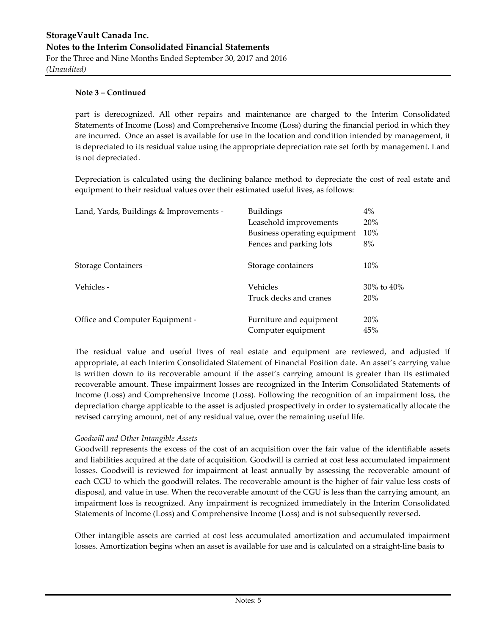part is derecognized. All other repairs and maintenance are charged to the Interim Consolidated Statements of Income (Loss) and Comprehensive Income (Loss) during the financial period in which they are incurred. Once an asset is available for use in the location and condition intended by management, it is depreciated to its residual value using the appropriate depreciation rate set forth by management. Land is not depreciated.

Depreciation is calculated using the declining balance method to depreciate the cost of real estate and equipment to their residual values over their estimated useful lives, as follows:

| Land, Yards, Buildings & Improvements - | <b>Buildings</b>             | 4%               |
|-----------------------------------------|------------------------------|------------------|
|                                         | Leasehold improvements       | 20%              |
|                                         | Business operating equipment | 10%              |
|                                         | Fences and parking lots      | 8%               |
| Storage Containers –                    | Storage containers           | 10%              |
| Vehicles -                              | Vehicles                     | $30\%$ to $40\%$ |
|                                         | Truck decks and cranes       | 20%              |
| Office and Computer Equipment -         | Furniture and equipment      | 20%              |
|                                         | Computer equipment           | 45%              |

The residual value and useful lives of real estate and equipment are reviewed, and adjusted if appropriate, at each Interim Consolidated Statement of Financial Position date. An asset's carrying value is written down to its recoverable amount if the asset's carrying amount is greater than its estimated recoverable amount. These impairment losses are recognized in the Interim Consolidated Statements of Income (Loss) and Comprehensive Income (Loss). Following the recognition of an impairment loss, the depreciation charge applicable to the asset is adjusted prospectively in order to systematically allocate the revised carrying amount, net of any residual value, over the remaining useful life.

#### *Goodwill and Other Intangible Assets*

Goodwill represents the excess of the cost of an acquisition over the fair value of the identifiable assets and liabilities acquired at the date of acquisition. Goodwill is carried at cost less accumulated impairment losses. Goodwill is reviewed for impairment at least annually by assessing the recoverable amount of each CGU to which the goodwill relates. The recoverable amount is the higher of fair value less costs of disposal, and value in use. When the recoverable amount of the CGU is less than the carrying amount, an impairment loss is recognized. Any impairment is recognized immediately in the Interim Consolidated Statements of Income (Loss) and Comprehensive Income (Loss) and is not subsequently reversed.

Other intangible assets are carried at cost less accumulated amortization and accumulated impairment losses. Amortization begins when an asset is available for use and is calculated on a straight-line basis to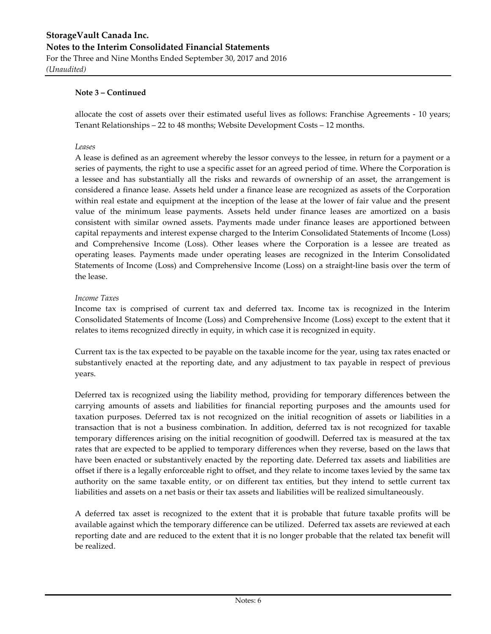allocate the cost of assets over their estimated useful lives as follows: Franchise Agreements - 10 years; Tenant Relationships – 22 to 48 months; Website Development Costs – 12 months.

#### *Leases*

A lease is defined as an agreement whereby the lessor conveys to the lessee, in return for a payment or a series of payments, the right to use a specific asset for an agreed period of time. Where the Corporation is a lessee and has substantially all the risks and rewards of ownership of an asset, the arrangement is considered a finance lease. Assets held under a finance lease are recognized as assets of the Corporation within real estate and equipment at the inception of the lease at the lower of fair value and the present value of the minimum lease payments. Assets held under finance leases are amortized on a basis consistent with similar owned assets. Payments made under finance leases are apportioned between capital repayments and interest expense charged to the Interim Consolidated Statements of Income (Loss) and Comprehensive Income (Loss). Other leases where the Corporation is a lessee are treated as operating leases. Payments made under operating leases are recognized in the Interim Consolidated Statements of Income (Loss) and Comprehensive Income (Loss) on a straight-line basis over the term of the lease.

#### *Income Taxes*

Income tax is comprised of current tax and deferred tax. Income tax is recognized in the Interim Consolidated Statements of Income (Loss) and Comprehensive Income (Loss) except to the extent that it relates to items recognized directly in equity, in which case it is recognized in equity.

Current tax is the tax expected to be payable on the taxable income for the year, using tax rates enacted or substantively enacted at the reporting date, and any adjustment to tax payable in respect of previous years.

Deferred tax is recognized using the liability method, providing for temporary differences between the carrying amounts of assets and liabilities for financial reporting purposes and the amounts used for taxation purposes. Deferred tax is not recognized on the initial recognition of assets or liabilities in a transaction that is not a business combination. In addition, deferred tax is not recognized for taxable temporary differences arising on the initial recognition of goodwill. Deferred tax is measured at the tax rates that are expected to be applied to temporary differences when they reverse, based on the laws that have been enacted or substantively enacted by the reporting date. Deferred tax assets and liabilities are offset if there is a legally enforceable right to offset, and they relate to income taxes levied by the same tax authority on the same taxable entity, or on different tax entities, but they intend to settle current tax liabilities and assets on a net basis or their tax assets and liabilities will be realized simultaneously.

A deferred tax asset is recognized to the extent that it is probable that future taxable profits will be available against which the temporary difference can be utilized. Deferred tax assets are reviewed at each reporting date and are reduced to the extent that it is no longer probable that the related tax benefit will be realized.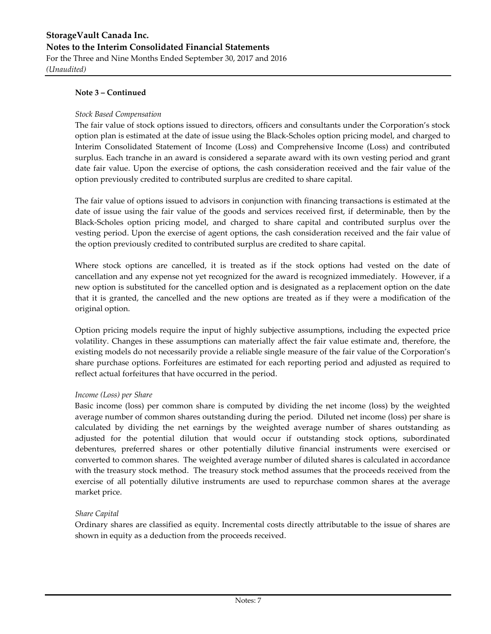*(Unaudited)*

#### **Note 3 – Continued**

#### *Stock Based Compensation*

The fair value of stock options issued to directors, officers and consultants under the Corporation's stock option plan is estimated at the date of issue using the Black-Scholes option pricing model, and charged to Interim Consolidated Statement of Income (Loss) and Comprehensive Income (Loss) and contributed surplus. Each tranche in an award is considered a separate award with its own vesting period and grant date fair value. Upon the exercise of options, the cash consideration received and the fair value of the option previously credited to contributed surplus are credited to share capital.

The fair value of options issued to advisors in conjunction with financing transactions is estimated at the date of issue using the fair value of the goods and services received first, if determinable, then by the Black-Scholes option pricing model, and charged to share capital and contributed surplus over the vesting period. Upon the exercise of agent options, the cash consideration received and the fair value of the option previously credited to contributed surplus are credited to share capital.

Where stock options are cancelled, it is treated as if the stock options had vested on the date of cancellation and any expense not yet recognized for the award is recognized immediately. However, if a new option is substituted for the cancelled option and is designated as a replacement option on the date that it is granted, the cancelled and the new options are treated as if they were a modification of the original option.

Option pricing models require the input of highly subjective assumptions, including the expected price volatility. Changes in these assumptions can materially affect the fair value estimate and, therefore, the existing models do not necessarily provide a reliable single measure of the fair value of the Corporation's share purchase options. Forfeitures are estimated for each reporting period and adjusted as required to reflect actual forfeitures that have occurred in the period.

#### *Income (Loss) per Share*

Basic income (loss) per common share is computed by dividing the net income (loss) by the weighted average number of common shares outstanding during the period. Diluted net income (loss) per share is calculated by dividing the net earnings by the weighted average number of shares outstanding as adjusted for the potential dilution that would occur if outstanding stock options, subordinated debentures, preferred shares or other potentially dilutive financial instruments were exercised or converted to common shares. The weighted average number of diluted shares is calculated in accordance with the treasury stock method. The treasury stock method assumes that the proceeds received from the exercise of all potentially dilutive instruments are used to repurchase common shares at the average market price.

#### *Share Capital*

Ordinary shares are classified as equity. Incremental costs directly attributable to the issue of shares are shown in equity as a deduction from the proceeds received.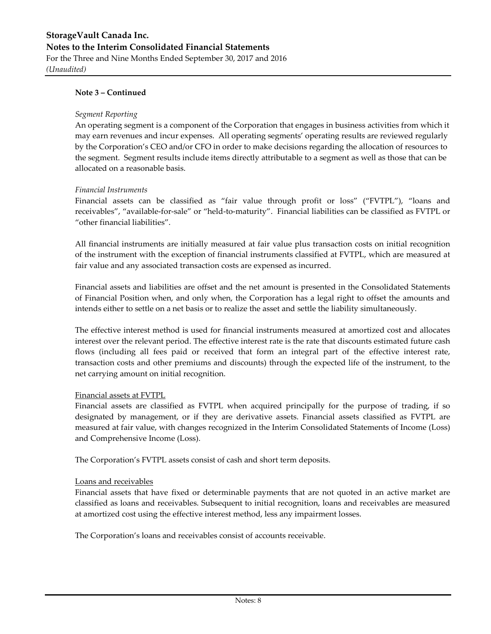*(Unaudited)*

#### **Note 3 – Continued**

#### *Segment Reporting*

An operating segment is a component of the Corporation that engages in business activities from which it may earn revenues and incur expenses. All operating segments' operating results are reviewed regularly by the Corporation's CEO and/or CFO in order to make decisions regarding the allocation of resources to the segment. Segment results include items directly attributable to a segment as well as those that can be allocated on a reasonable basis.

#### *Financial Instruments*

Financial assets can be classified as "fair value through profit or loss" ("FVTPL"), "loans and receivables", "available-for-sale" or "held-to-maturity". Financial liabilities can be classified as FVTPL or "other financial liabilities".

All financial instruments are initially measured at fair value plus transaction costs on initial recognition of the instrument with the exception of financial instruments classified at FVTPL, which are measured at fair value and any associated transaction costs are expensed as incurred.

Financial assets and liabilities are offset and the net amount is presented in the Consolidated Statements of Financial Position when, and only when, the Corporation has a legal right to offset the amounts and intends either to settle on a net basis or to realize the asset and settle the liability simultaneously.

The effective interest method is used for financial instruments measured at amortized cost and allocates interest over the relevant period. The effective interest rate is the rate that discounts estimated future cash flows (including all fees paid or received that form an integral part of the effective interest rate, transaction costs and other premiums and discounts) through the expected life of the instrument, to the net carrying amount on initial recognition.

#### Financial assets at FVTPL

Financial assets are classified as FVTPL when acquired principally for the purpose of trading, if so designated by management, or if they are derivative assets. Financial assets classified as FVTPL are measured at fair value, with changes recognized in the Interim Consolidated Statements of Income (Loss) and Comprehensive Income (Loss).

The Corporation's FVTPL assets consist of cash and short term deposits.

#### Loans and receivables

Financial assets that have fixed or determinable payments that are not quoted in an active market are classified as loans and receivables. Subsequent to initial recognition, loans and receivables are measured at amortized cost using the effective interest method, less any impairment losses.

The Corporation's loans and receivables consist of accounts receivable.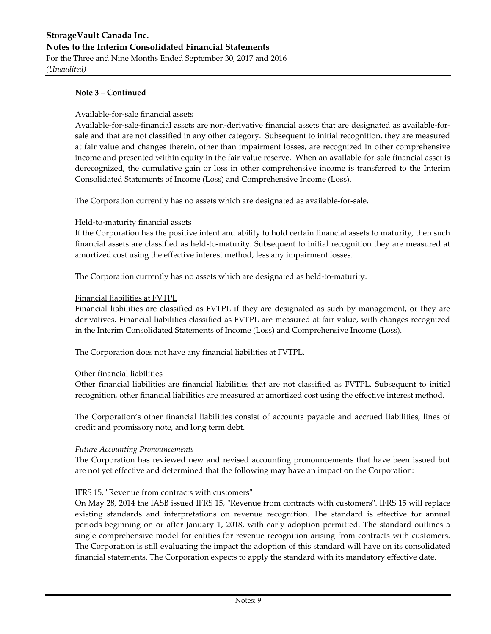*(Unaudited)*

#### **Note 3 – Continued**

#### Available-for-sale financial assets

Available-for-sale-financial assets are non-derivative financial assets that are designated as available-forsale and that are not classified in any other category. Subsequent to initial recognition, they are measured at fair value and changes therein, other than impairment losses, are recognized in other comprehensive income and presented within equity in the fair value reserve. When an available-for-sale financial asset is derecognized, the cumulative gain or loss in other comprehensive income is transferred to the Interim Consolidated Statements of Income (Loss) and Comprehensive Income (Loss).

The Corporation currently has no assets which are designated as available-for-sale.

#### Held-to-maturity financial assets

If the Corporation has the positive intent and ability to hold certain financial assets to maturity, then such financial assets are classified as held-to-maturity. Subsequent to initial recognition they are measured at amortized cost using the effective interest method, less any impairment losses.

The Corporation currently has no assets which are designated as held-to-maturity.

#### Financial liabilities at FVTPL

Financial liabilities are classified as FVTPL if they are designated as such by management, or they are derivatives. Financial liabilities classified as FVTPL are measured at fair value, with changes recognized in the Interim Consolidated Statements of Income (Loss) and Comprehensive Income (Loss).

The Corporation does not have any financial liabilities at FVTPL.

#### Other financial liabilities

Other financial liabilities are financial liabilities that are not classified as FVTPL. Subsequent to initial recognition, other financial liabilities are measured at amortized cost using the effective interest method.

The Corporation's other financial liabilities consist of accounts payable and accrued liabilities, lines of credit and promissory note, and long term debt.

#### *Future Accounting Pronouncements*

The Corporation has reviewed new and revised accounting pronouncements that have been issued but are not yet effective and determined that the following may have an impact on the Corporation:

#### IFRS 15, "Revenue from contracts with customers"

On May 28, 2014 the IASB issued IFRS 15, "Revenue from contracts with customers". IFRS 15 will replace existing standards and interpretations on revenue recognition. The standard is effective for annual periods beginning on or after January 1, 2018, with early adoption permitted. The standard outlines a single comprehensive model for entities for revenue recognition arising from contracts with customers. The Corporation is still evaluating the impact the adoption of this standard will have on its consolidated financial statements. The Corporation expects to apply the standard with its mandatory effective date.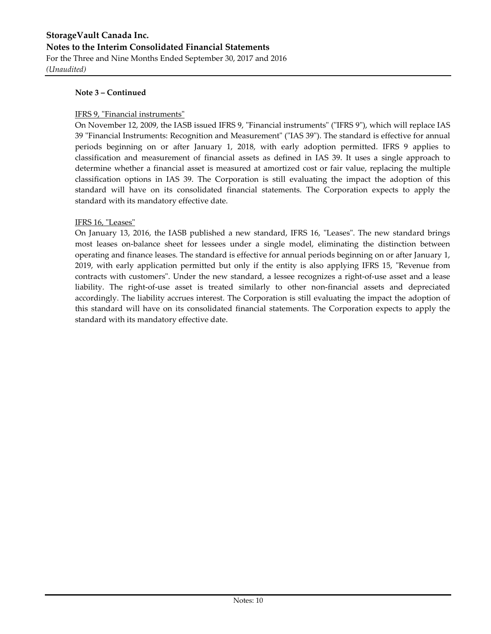*(Unaudited)*

#### **Note 3 – Continued**

#### IFRS 9, "Financial instruments"

On November 12, 2009, the IASB issued IFRS 9, "Financial instruments" ("IFRS 9"), which will replace IAS 39 "Financial Instruments: Recognition and Measurement" ("IAS 39"). The standard is effective for annual periods beginning on or after January 1, 2018, with early adoption permitted. IFRS 9 applies to classification and measurement of financial assets as defined in IAS 39. It uses a single approach to determine whether a financial asset is measured at amortized cost or fair value, replacing the multiple classification options in IAS 39. The Corporation is still evaluating the impact the adoption of this standard will have on its consolidated financial statements. The Corporation expects to apply the standard with its mandatory effective date.

#### IFRS 16, "Leases"

On January 13, 2016, the IASB published a new standard, IFRS 16, "Leases". The new standard brings most leases on-balance sheet for lessees under a single model, eliminating the distinction between operating and finance leases. The standard is effective for annual periods beginning on or after January 1, 2019, with early application permitted but only if the entity is also applying IFRS 15, "Revenue from contracts with customers". Under the new standard, a lessee recognizes a right-of-use asset and a lease liability. The right-of-use asset is treated similarly to other non-financial assets and depreciated accordingly. The liability accrues interest. The Corporation is still evaluating the impact the adoption of this standard will have on its consolidated financial statements. The Corporation expects to apply the standard with its mandatory effective date.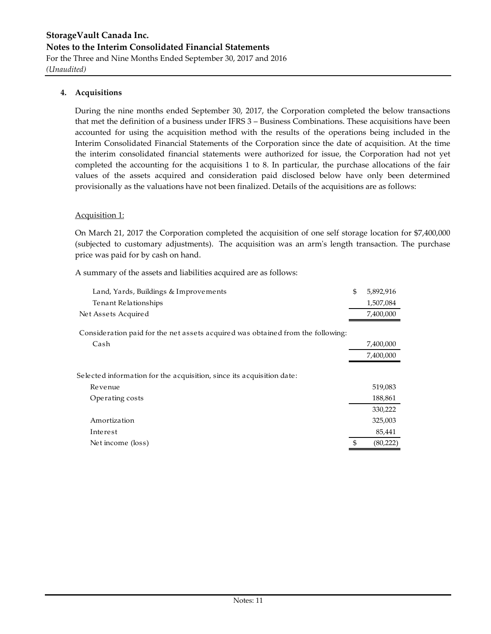#### **4. Acquisitions**

During the nine months ended September 30, 2017, the Corporation completed the below transactions that met the definition of a business under IFRS 3 – Business Combinations. These acquisitions have been accounted for using the acquisition method with the results of the operations being included in the Interim Consolidated Financial Statements of the Corporation since the date of acquisition. At the time the interim consolidated financial statements were authorized for issue, the Corporation had not yet completed the accounting for the acquisitions 1 to 8. In particular, the purchase allocations of the fair values of the assets acquired and consideration paid disclosed below have only been determined provisionally as the valuations have not been finalized. Details of the acquisitions are as follows:

#### Acquisition 1:

On March 21, 2017 the Corporation completed the acquisition of one self storage location for \$7,400,000 (subjected to customary adjustments). The acquisition was an arm's length transaction. The purchase price was paid for by cash on hand.

A summary of the assets and liabilities acquired are as follows:

| 1,507,084<br>Tenant Relationships<br>7,400,000<br>Net Assets Acquired<br>Consideration paid for the net assets acquired was obtained from the following:<br>Cash<br>7,400,000<br>7,400,000<br>Selected information for the acquisition, since its acquisition date:<br>519,083<br>Revenue<br>188,861<br>Operating costs<br>330,222<br>Amortization<br>325,003<br>85,441<br>Interest<br>\$<br>(80, 222)<br>Net income (loss) | Land, Yards, Buildings & Improvements | \$<br>5,892,916 |
|-----------------------------------------------------------------------------------------------------------------------------------------------------------------------------------------------------------------------------------------------------------------------------------------------------------------------------------------------------------------------------------------------------------------------------|---------------------------------------|-----------------|
|                                                                                                                                                                                                                                                                                                                                                                                                                             |                                       |                 |
|                                                                                                                                                                                                                                                                                                                                                                                                                             |                                       |                 |
|                                                                                                                                                                                                                                                                                                                                                                                                                             |                                       |                 |
|                                                                                                                                                                                                                                                                                                                                                                                                                             |                                       |                 |
|                                                                                                                                                                                                                                                                                                                                                                                                                             |                                       |                 |
|                                                                                                                                                                                                                                                                                                                                                                                                                             |                                       |                 |
|                                                                                                                                                                                                                                                                                                                                                                                                                             |                                       |                 |
|                                                                                                                                                                                                                                                                                                                                                                                                                             |                                       |                 |
|                                                                                                                                                                                                                                                                                                                                                                                                                             |                                       |                 |
|                                                                                                                                                                                                                                                                                                                                                                                                                             |                                       |                 |
|                                                                                                                                                                                                                                                                                                                                                                                                                             |                                       |                 |
|                                                                                                                                                                                                                                                                                                                                                                                                                             |                                       |                 |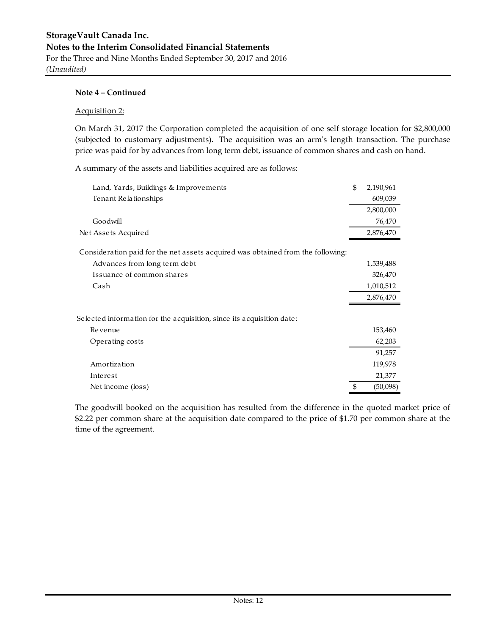#### Acquisition 2:

On March 31, 2017 the Corporation completed the acquisition of one self storage location for \$2,800,000 (subjected to customary adjustments). The acquisition was an arm's length transaction. The purchase price was paid for by advances from long term debt, issuance of common shares and cash on hand.

A summary of the assets and liabilities acquired are as follows:

| Land, Yards, Buildings & Improvements                                           | \$<br>2,190,961 |
|---------------------------------------------------------------------------------|-----------------|
| Tenant Relationships                                                            | 609,039         |
|                                                                                 | 2,800,000       |
| Goodwill                                                                        | 76,470          |
| Net Assets Acquired                                                             | 2,876,470       |
| Consideration paid for the net assets acquired was obtained from the following: |                 |
| Advances from long term debt                                                    | 1,539,488       |
| Issuance of common shares                                                       | 326,470         |
| Cash                                                                            | 1,010,512       |
|                                                                                 | 2,876,470       |
| Selected information for the acquisition, since its acquisition date:           |                 |
| Revenue                                                                         | 153,460         |
| Operating costs                                                                 | 62,203          |
|                                                                                 | 91,257          |
| Amortization                                                                    | 119,978         |
| Interest                                                                        | 21,377          |
| Net income (loss)                                                               | \$<br>(50,098)  |

The goodwill booked on the acquisition has resulted from the difference in the quoted market price of \$2.22 per common share at the acquisition date compared to the price of \$1.70 per common share at the time of the agreement.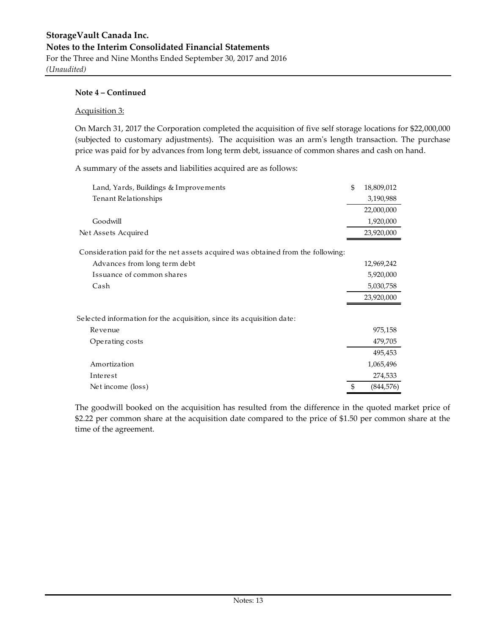*(Unaudited)*

#### **Note 4 – Continued**

#### Acquisition 3:

On March 31, 2017 the Corporation completed the acquisition of five self storage locations for \$22,000,000 (subjected to customary adjustments). The acquisition was an arm's length transaction. The purchase price was paid for by advances from long term debt, issuance of common shares and cash on hand.

A summary of the assets and liabilities acquired are as follows:

| Land, Yards, Buildings & Improvements                                           | \$<br>18,809,012 |
|---------------------------------------------------------------------------------|------------------|
| Tenant Relationships                                                            | 3,190,988        |
|                                                                                 | 22,000,000       |
| Goodwill                                                                        | 1,920,000        |
| Net Assets Acquired                                                             | 23,920,000       |
| Consideration paid for the net assets acquired was obtained from the following: |                  |
| Advances from long term debt                                                    | 12,969,242       |
| Issuance of common shares                                                       | 5,920,000        |
| Cash                                                                            | 5,030,758        |
|                                                                                 | 23,920,000       |
| Selected information for the acquisition, since its acquisition date:           |                  |
| Revenue                                                                         | 975,158          |
| Operating costs                                                                 | 479,705          |
|                                                                                 | 495,453          |
| Amortization                                                                    | 1,065,496        |
| Interest                                                                        | 274,533          |
| Net income (loss)                                                               | \$<br>(844, 576) |

The goodwill booked on the acquisition has resulted from the difference in the quoted market price of \$2.22 per common share at the acquisition date compared to the price of \$1.50 per common share at the time of the agreement.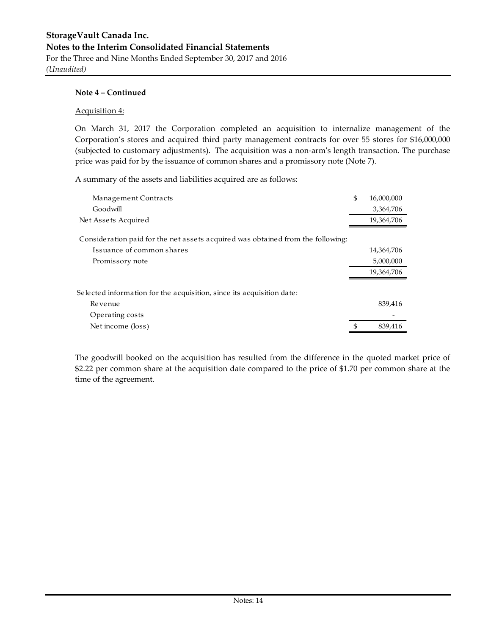#### Acquisition 4:

On March 31, 2017 the Corporation completed an acquisition to internalize management of the Corporation's stores and acquired third party management contracts for over 55 stores for \$16,000,000 (subjected to customary adjustments). The acquisition was a non-arm's length transaction. The purchase price was paid for by the issuance of common shares and a promissory note (Note 7).

A summary of the assets and liabilities acquired are as follows:

| Management Contracts                                                            | \$<br>16,000,000 |
|---------------------------------------------------------------------------------|------------------|
| Goodwill                                                                        | 3,364,706        |
| Net Assets Acquired                                                             | 19,364,706       |
| Consideration paid for the net assets acquired was obtained from the following: |                  |
| Issuance of common shares                                                       | 14,364,706       |
| Promissory note                                                                 | 5,000,000        |
|                                                                                 | 19,364,706       |
| Selected information for the acquisition, since its acquisition date:           |                  |
| Revenue                                                                         | 839,416          |
| Operating costs                                                                 |                  |
| Net income (loss)                                                               | \$<br>839,416    |

The goodwill booked on the acquisition has resulted from the difference in the quoted market price of \$2.22 per common share at the acquisition date compared to the price of \$1.70 per common share at the time of the agreement.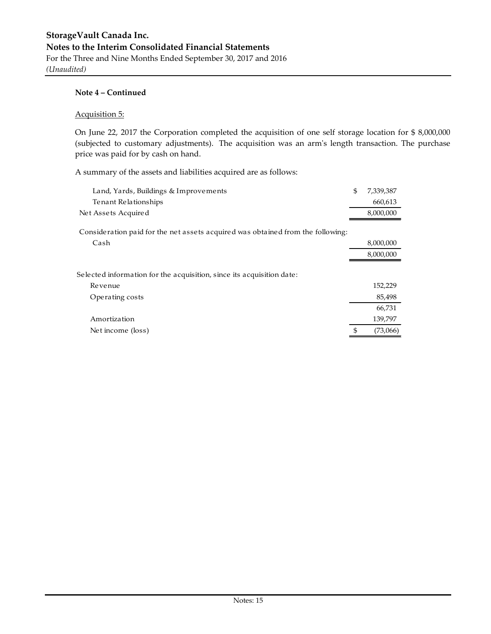*(Unaudited)*

#### **Note 4 – Continued**

#### Acquisition 5:

On June 22, 2017 the Corporation completed the acquisition of one self storage location for \$ 8,000,000 (subjected to customary adjustments). The acquisition was an arm's length transaction. The purchase price was paid for by cash on hand.

A summary of the assets and liabilities acquired are as follows:

| Land, Yards, Buildings & Improvements                                           | $\mathfrak{S}$ | 7,339,387 |
|---------------------------------------------------------------------------------|----------------|-----------|
| Tenant Relationships                                                            |                | 660,613   |
| Net Assets Acquired                                                             |                | 8,000,000 |
| Consideration paid for the net assets acquired was obtained from the following: |                |           |
| Cash                                                                            |                | 8,000,000 |
|                                                                                 |                | 8,000,000 |
| Selected information for the acquisition, since its acquisition date:           |                |           |
| Revenue                                                                         |                | 152,229   |
| Operating costs                                                                 |                | 85,498    |
|                                                                                 |                | 66,731    |
| Amortization                                                                    |                | 139,797   |
| Net income (loss)                                                               | \$             | (73,066)  |
|                                                                                 |                |           |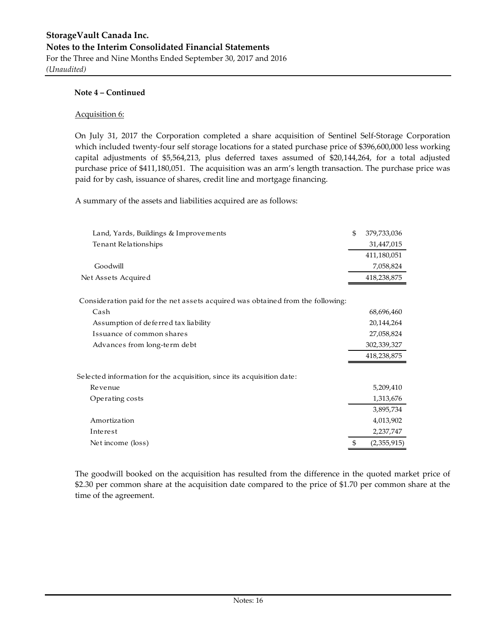#### Acquisition 6:

On July 31, 2017 the Corporation completed a share acquisition of Sentinel Self-Storage Corporation which included twenty-four self storage locations for a stated purchase price of \$396,600,000 less working capital adjustments of \$5,564,213, plus deferred taxes assumed of \$20,144,264, for a total adjusted purchase price of \$411,180,051. The acquisition was an arm's length transaction. The purchase price was paid for by cash, issuance of shares, credit line and mortgage financing.

A summary of the assets and liabilities acquired are as follows:

| Land, Yards, Buildings & Improvements                                           | \$<br>379,733,036 |
|---------------------------------------------------------------------------------|-------------------|
| Tenant Relationships                                                            | 31,447,015        |
|                                                                                 | 411,180,051       |
| Goodwill                                                                        | 7,058,824         |
| Net Assets Acquired                                                             | 418,238,875       |
| Consideration paid for the net assets acquired was obtained from the following: |                   |
| Cash                                                                            | 68,696,460        |
| Assumption of deferred tax liability                                            | 20,144,264        |
| Issuance of common shares                                                       | 27,058,824        |
| Advances from long-term debt                                                    | 302,339,327       |
|                                                                                 | 418,238,875       |
| Selected information for the acquisition, since its acquisition date:           |                   |
| Revenue                                                                         | 5,209,410         |
| Operating costs                                                                 | 1,313,676         |
|                                                                                 | 3,895,734         |
| Amortization                                                                    | 4,013,902         |
| Interest                                                                        | 2,237,747         |
| Net income (loss)                                                               | \$<br>(2,355,915) |

The goodwill booked on the acquisition has resulted from the difference in the quoted market price of \$2.30 per common share at the acquisition date compared to the price of \$1.70 per common share at the time of the agreement.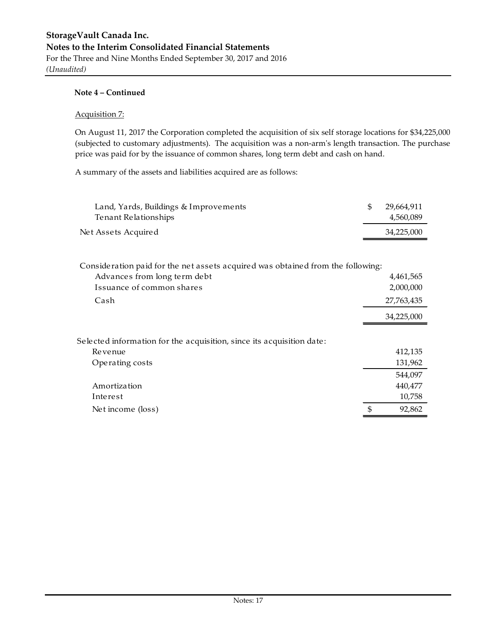#### Acquisition 7:

On August 11, 2017 the Corporation completed the acquisition of six self storage locations for \$34,225,000 (subjected to customary adjustments). The acquisition was a non-arm's length transaction. The purchase price was paid for by the issuance of common shares, long term debt and cash on hand.

A summary of the assets and liabilities acquired are as follows:

| Land, Yards, Buildings & Improvements<br>Tenant Relationships | 29.664.911<br>4.560.089 |
|---------------------------------------------------------------|-------------------------|
| Net Assets Acquired                                           | 34,225,000              |
|                                                               |                         |

| Consideration paid for the net assets acquired was obtained from the following: |            |
|---------------------------------------------------------------------------------|------------|
| Advances from long term debt                                                    | 4,461,565  |
| Issuance of common shares                                                       | 2,000,000  |
| Cash                                                                            | 27,763,435 |
|                                                                                 | 34,225,000 |
| Selected information for the acquisition, since its acquisition date:           |            |
| Revenue                                                                         | 412,135    |
| Operating costs                                                                 | 131,962    |
|                                                                                 | 544,097    |
| Amortization                                                                    | 440,477    |
| Interest                                                                        | 10,758     |
| Net income (loss)                                                               | 92,862     |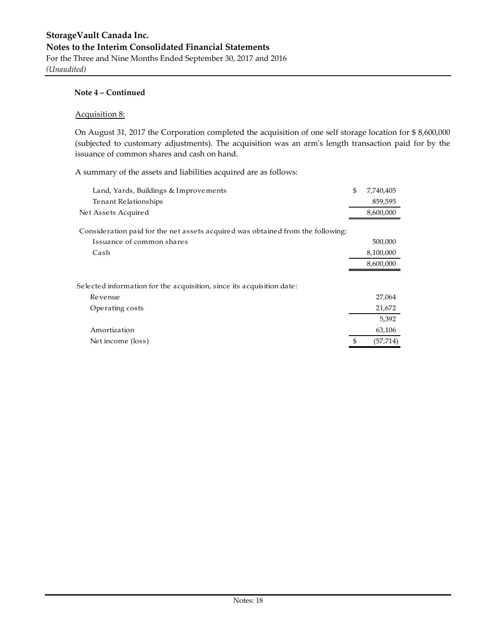*(Unaudited)*

#### **Note 4 – Continued**

#### Acquisition 8:

On August 31, 2017 the Corporation completed the acquisition of one self storage location for \$ 8,600,000 (subjected to customary adjustments). The acquisition was an arm's length transaction paid for by the issuance of common shares and cash on hand.

A summary of the assets and liabilities acquired are as follows:

| Land, Yards, Buildings & Improvements                                           | \$<br>7,740,405 |
|---------------------------------------------------------------------------------|-----------------|
| Tenant Relationships                                                            | 859,595         |
| Net Assets Acquired                                                             | 8,600,000       |
| Consideration paid for the net assets acquired was obtained from the following: |                 |
| Issuance of common shares                                                       | 500,000         |
| Cash                                                                            | 8,100,000       |
|                                                                                 | 8,600,000       |
|                                                                                 |                 |
| Selected information for the acquisition, since its acquisition date:           |                 |
| Revenue                                                                         | 27,064          |
| Operating costs                                                                 | 21,672          |
|                                                                                 | 5,392           |
| Amortization                                                                    | 63,106          |
| Net income (loss)                                                               | (57,714)        |
|                                                                                 |                 |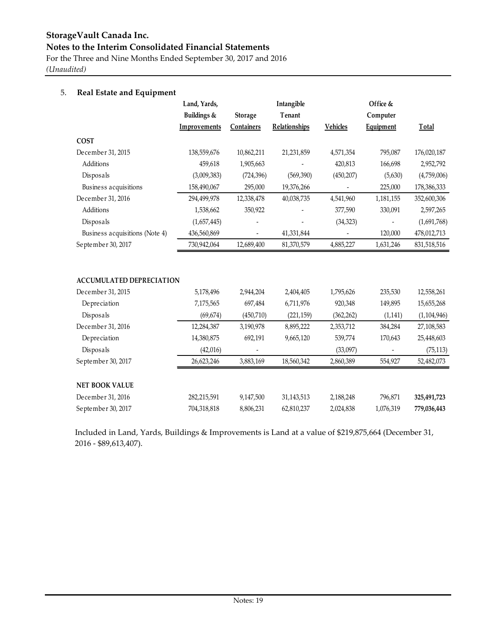**StorageVault Canada Inc. Notes to the Interim Consolidated Financial Statements**

For the Three and Nine Months Ended September 30, 2017 and 2016 *(Unaudited)*

### 5. **Real Estate and Equipment**

|                                 | Land, Yards, |                   | Intangible           | Office &        |           |               |
|---------------------------------|--------------|-------------------|----------------------|-----------------|-----------|---------------|
|                                 | Buildings &  | Storage           | Tenant               | Computer        |           |               |
|                                 | Improvements | <b>Containers</b> | <b>Relationships</b> | <b>Vehicles</b> | Equipment | Total         |
| <b>COST</b>                     |              |                   |                      |                 |           |               |
| December 31, 2015               | 138,559,676  | 10,862,211        | 21,231,859           | 4,571,354       | 795,087   | 176,020,187   |
| Additions                       | 459,618      | 1,905,663         |                      | 420,813         | 166,698   | 2,952,792     |
| Disposals                       | (3,009,383)  | (724, 396)        | (569, 390)           | (450, 207)      | (5,630)   | (4,759,006)   |
| Business acquisitions           | 158,490,067  | 295,000           | 19,376,266           |                 | 225,000   | 178,386,333   |
| December 31, 2016               | 294,499,978  | 12,338,478        | 40,038,735           | 4,541,960       | 1,181,155 | 352,600,306   |
| Additions                       | 1,538,662    | 350,922           |                      | 377,590         | 330,091   | 2,597,265     |
| Disposals                       | (1,657,445)  |                   |                      | (34, 323)       |           | (1,691,768)   |
| Business acquisitions (Note 4)  | 436,560,869  |                   | 41,331,844           |                 | 120,000   | 478,012,713   |
| September 30, 2017              | 730,942,064  | 12,689,400        | 81,370,579           | 4,885,227       | 1,631,246 | 831,518,516   |
|                                 |              |                   |                      |                 |           |               |
| <b>ACCUMULATED DEPRECIATION</b> |              |                   |                      |                 |           |               |
| December 31, 2015               | 5,178,496    | 2,944,204         | 2,404,405            | 1,795,626       | 235,530   | 12,558,261    |
| Depreciation                    | 7,175,565    | 697,484           | 6,711,976            | 920,348         | 149,895   | 15,655,268    |
| Disposals                       | (69, 674)    | (450, 710)        | (221, 159)           | (362, 262)      | (1, 141)  | (1, 104, 946) |
| December 31, 2016               | 12,284,387   | 3,190,978         | 8,895,222            | 2,353,712       | 384,284   | 27,108,583    |
| Depreciation                    | 14,380,875   | 692,191           | 9,665,120            | 539,774         | 170,643   | 25,448,603    |
| Disposals                       | (42, 016)    |                   |                      | (33,097)        |           | (75, 113)     |
| September 30, 2017              | 26,623,246   | 3,883,169         | 18,560,342           | 2,860,389       | 554,927   | 52,482,073    |
|                                 |              |                   |                      |                 |           |               |
| <b>NET BOOK VALUE</b>           |              |                   |                      |                 |           |               |
| December 31, 2016               | 282,215,591  | 9,147,500         | 31,143,513           | 2,188,248       | 796,871   | 325,491,723   |
| September 30, 2017              | 704,318,818  | 8,806,231         | 62,810,237           | 2,024,838       | 1,076,319 | 779,036,443   |

Included in Land, Yards, Buildings & Improvements is Land at a value of \$219,875,664 (December 31, 2016 - \$89,613,407).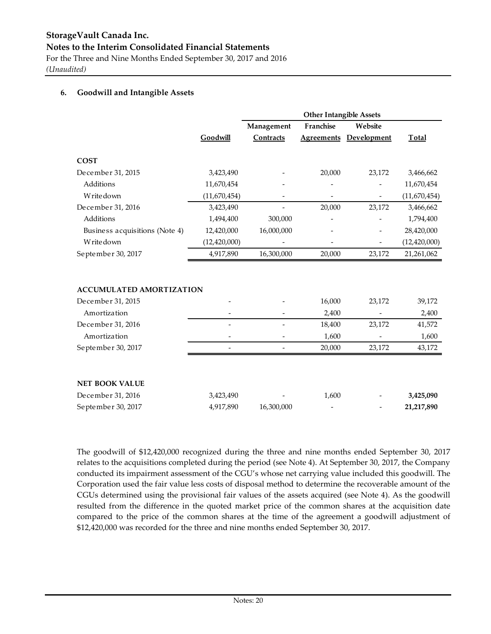## **StorageVault Canada Inc. Notes to the Interim Consolidated Financial Statements**

For the Three and Nine Months Ended September 30, 2017 and 2016 *(Unaudited)*

#### **6. Goodwill and Intangible Assets**

|                                 |                | <b>Other Intangible Assets</b> |                   |             |                |
|---------------------------------|----------------|--------------------------------|-------------------|-------------|----------------|
|                                 |                | Management                     | Franchise         | Website     |                |
|                                 | Goodwill       | Contracts                      | <b>Agreements</b> | Development | <b>Total</b>   |
| <b>COST</b>                     |                |                                |                   |             |                |
| December 31, 2015               | 3,423,490      |                                | 20,000            | 23,172      | 3,466,662      |
| Additions                       | 11,670,454     |                                |                   |             | 11,670,454     |
| Writedown                       | (11,670,454)   |                                |                   |             | (11,670,454)   |
| December 31, 2016               | 3,423,490      |                                | 20,000            | 23,172      | 3,466,662      |
| Additions                       | 1,494,400      | 300,000                        |                   |             | 1,794,400      |
| Business acquisitions (Note 4)  | 12,420,000     | 16,000,000                     |                   |             | 28,420,000     |
| Writedown                       | (12, 420, 000) |                                |                   |             | (12, 420, 000) |
| September 30, 2017              | 4,917,890      | 16,300,000                     | 20,000            | 23,172      | 21,261,062     |
| <b>ACCUMULATED AMORTIZATION</b> |                |                                |                   |             |                |
| December 31, 2015               |                |                                | 16,000            | 23,172      | 39,172         |
| Amortization                    |                |                                | 2,400             |             | 2,400          |
| December 31, 2016               |                |                                | 18,400            | 23,172      | 41,572         |
| Amortization                    |                |                                | 1,600             |             | 1,600          |
| September 30, 2017              |                | $\overline{a}$                 | 20,000            | 23,172      | 43,172         |
|                                 |                |                                |                   |             |                |
| <b>NET BOOK VALUE</b>           |                |                                |                   |             |                |
| December 31, 2016               | 3,423,490      |                                | 1,600             |             | 3,425,090      |
| September 30, 2017              | 4,917,890      | 16,300,000                     |                   |             | 21,217,890     |

The goodwill of \$12,420,000 recognized during the three and nine months ended September 30, 2017 relates to the acquisitions completed during the period (see Note 4). At September 30, 2017, the Company conducted its impairment assessment of the CGU's whose net carrying value included this goodwill. The Corporation used the fair value less costs of disposal method to determine the recoverable amount of the CGUs determined using the provisional fair values of the assets acquired (see Note 4). As the goodwill resulted from the difference in the quoted market price of the common shares at the acquisition date compared to the price of the common shares at the time of the agreement a goodwill adjustment of \$12,420,000 was recorded for the three and nine months ended September 30, 2017.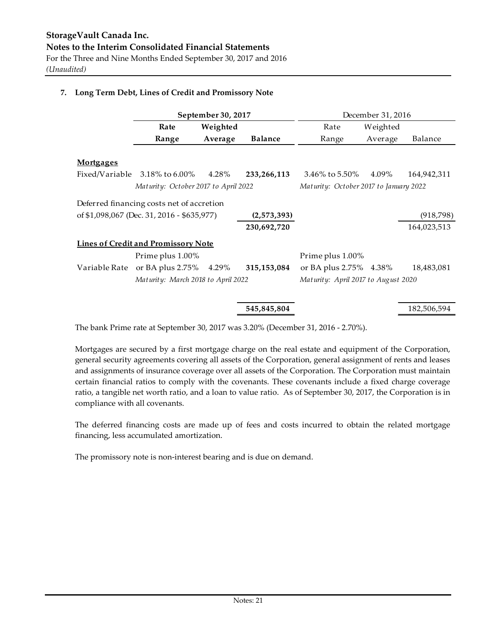#### **7. Long Term Debt, Lines of Credit and Promissory Note**

|                  |                                            | September 30, 2017 |                |                                        | December 31, 2016 |             |
|------------------|--------------------------------------------|--------------------|----------------|----------------------------------------|-------------------|-------------|
|                  | Rate                                       | Weighted           |                | Rate                                   | Weighted          |             |
|                  | Range                                      | Average            | <b>Balance</b> | Range                                  | Average           | Balance     |
|                  |                                            |                    |                |                                        |                   |             |
| <b>Mortgages</b> |                                            |                    |                |                                        |                   |             |
| Fixed/Variable   | 3.18% to 6.00%                             | 4.28%              | 233, 266, 113  | 3.46% to 5.50%                         | 4.09%             | 164,942,311 |
|                  | Maturity: October 2017 to April 2022       |                    |                | Maturity: October 2017 to January 2022 |                   |             |
|                  | Deferred financing costs net of accretion  |                    |                |                                        |                   |             |
|                  | of \$1,098,067 (Dec. 31, 2016 - \$635,977) |                    | (2,573,393)    |                                        |                   | (918, 798)  |
|                  |                                            |                    | 230,692,720    |                                        |                   | 164,023,513 |
|                  | <b>Lines of Credit and Promissory Note</b> |                    |                |                                        |                   |             |
|                  | Prime plus 1.00%                           |                    |                | Prime plus 1.00%                       |                   |             |
| Variable Rate    | or BA plus 2.75% 4.29%                     |                    | 315, 153, 084  | or BA plus 2.75% 4.38%                 |                   | 18,483,081  |
|                  | Maturity: March 2018 to April 2022         |                    |                | Maturity: April 2017 to August 2020    |                   |             |
|                  |                                            |                    |                |                                        |                   |             |
|                  |                                            |                    | 545,845,804    |                                        |                   | 182,506,594 |

The bank Prime rate at September 30, 2017 was 3.20% (December 31, 2016 - 2.70%).

Mortgages are secured by a first mortgage charge on the real estate and equipment of the Corporation, general security agreements covering all assets of the Corporation, general assignment of rents and leases and assignments of insurance coverage over all assets of the Corporation. The Corporation must maintain certain financial ratios to comply with the covenants. These covenants include a fixed charge coverage ratio, a tangible net worth ratio, and a loan to value ratio. As of September 30, 2017, the Corporation is in compliance with all covenants.

The deferred financing costs are made up of fees and costs incurred to obtain the related mortgage financing, less accumulated amortization.

The promissory note is non-interest bearing and is due on demand.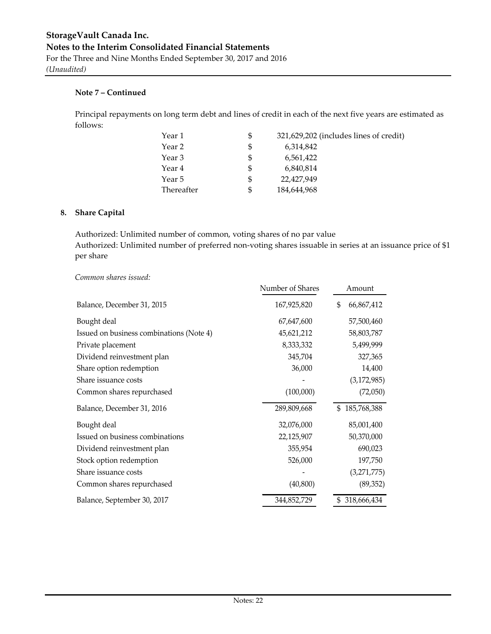Principal repayments on long term debt and lines of credit in each of the next five years are estimated as follows:

| Year 1     | \$<br>321,629,202 (includes lines of credit) |  |
|------------|----------------------------------------------|--|
| Year 2     | \$<br>6,314,842                              |  |
| Year 3     | \$<br>6,561,422                              |  |
| Year 4     | \$<br>6,840,814                              |  |
| Year 5     | \$<br>22,427,949                             |  |
| Thereafter | \$<br>184,644,968                            |  |

#### **8. Share Capital**

Authorized: Unlimited number of common, voting shares of no par value Authorized: Unlimited number of preferred non-voting shares issuable in series at an issuance price of \$1 per share

#### *Common shares issued:*

|                                          | Number of Shares | Amount            |
|------------------------------------------|------------------|-------------------|
| Balance, December 31, 2015               | 167,925,820      | \$<br>66,867,412  |
| Bought deal                              | 67,647,600       | 57,500,460        |
| Issued on business combinations (Note 4) | 45,621,212       | 58,803,787        |
| Private placement                        | 8,333,332        | 5,499,999         |
| Dividend reinvestment plan               | 345,704          | 327,365           |
| Share option redemption                  | 36,000           | 14,400            |
| Share issuance costs                     |                  | (3, 172, 985)     |
| Common shares repurchased                | (100,000)        | (72,050)          |
| Balance, December 31, 2016               | 289,809,668      | \$185,768,388     |
| Bought deal                              | 32,076,000       | 85,001,400        |
| Issued on business combinations          | 22,125,907       | 50,370,000        |
| Dividend reinvestment plan               | 355,954          | 690,023           |
| Stock option redemption                  | 526,000          | 197,750           |
| Share issuance costs                     |                  | (3,271,775)       |
| Common shares repurchased                | (40, 800)        | (89, 352)         |
| Balance, September 30, 2017              | 344,852,729      | 318,666,434<br>\$ |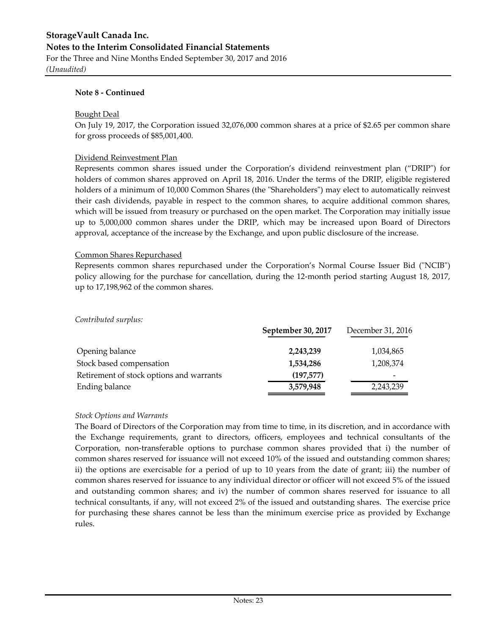## **StorageVault Canada Inc. Notes to the Interim Consolidated Financial Statements**

For the Three and Nine Months Ended September 30, 2017 and 2016 *(Unaudited)*

#### **Note 8 - Continued**

#### Bought Deal

On July 19, 2017, the Corporation issued 32,076,000 common shares at a price of \$2.65 per common share for gross proceeds of \$85,001,400.

#### Dividend Reinvestment Plan

Represents common shares issued under the Corporation's dividend reinvestment plan ("DRIP") for holders of common shares approved on April 18, 2016. Under the terms of the DRIP, eligible registered holders of a minimum of 10,000 Common Shares (the "Shareholders") may elect to automatically reinvest their cash dividends, payable in respect to the common shares, to acquire additional common shares, which will be issued from treasury or purchased on the open market. The Corporation may initially issue up to 5,000,000 common shares under the DRIP, which may be increased upon Board of Directors approval, acceptance of the increase by the Exchange, and upon public disclosure of the increase.

#### Common Shares Repurchased

Represents common shares repurchased under the Corporation's Normal Course Issuer Bid ("NCIB") policy allowing for the purchase for cancellation, during the 12-month period starting August 18, 2017, up to 17,198,962 of the common shares.

|                                          | September 30, 2017 | December 31, 2016 |
|------------------------------------------|--------------------|-------------------|
| Opening balance                          | 2,243,239          | 1,034,865         |
| Stock based compensation                 | 1,534,286          | 1,208,374         |
| Retirement of stock options and warrants | (197, 577)         |                   |
| Ending balance                           | 3,579,948          | 2,243,239         |

#### *Stock Options and Warrants*

*Contributed surplus:*

The Board of Directors of the Corporation may from time to time, in its discretion, and in accordance with the Exchange requirements, grant to directors, officers, employees and technical consultants of the Corporation, non-transferable options to purchase common shares provided that i) the number of common shares reserved for issuance will not exceed 10% of the issued and outstanding common shares; ii) the options are exercisable for a period of up to 10 years from the date of grant; iii) the number of common shares reserved for issuance to any individual director or officer will not exceed 5% of the issued and outstanding common shares; and iv) the number of common shares reserved for issuance to all technical consultants, if any, will not exceed 2% of the issued and outstanding shares. The exercise price for purchasing these shares cannot be less than the minimum exercise price as provided by Exchange rules.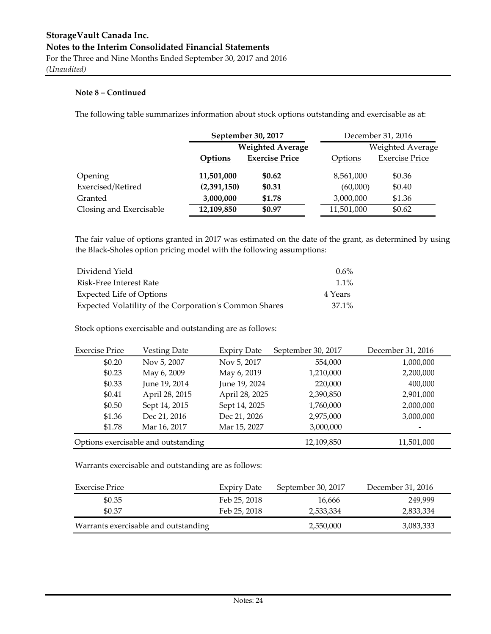The following table summarizes information about stock options outstanding and exercisable as at:

|                         | September 30, 2017      |                       |                | December 31, 2016     |
|-------------------------|-------------------------|-----------------------|----------------|-----------------------|
|                         | <b>Weighted Average</b> |                       |                | Weighted Average      |
|                         | <b>Options</b>          | <b>Exercise Price</b> | <b>Options</b> | <b>Exercise Price</b> |
| Opening                 | 11,501,000              | \$0.62                | 8,561,000      | \$0.36                |
| Exercised/Retired       | (2,391,150)             | \$0.31                | (60,000)       | \$0.40                |
| Granted                 | 3,000,000               | \$1.78                | 3,000,000      | \$1.36                |
| Closing and Exercisable | 12,109,850              | \$0.97                | 11,501,000     | \$0.62                |

The fair value of options granted in 2017 was estimated on the date of the grant, as determined by using the Black-Sholes option pricing model with the following assumptions:

| Dividend Yield                                         | $0.6\%$ |
|--------------------------------------------------------|---------|
| Risk-Free Interest Rate                                | $1.1\%$ |
| Expected Life of Options                               | 4 Years |
| Expected Volatility of the Corporation's Common Shares | 37.1%   |

Stock options exercisable and outstanding are as follows:

| <b>Exercise Price</b> | <b>Vesting Date</b>                 | <b>Expiry Date</b> | September 30, 2017 | December 31, 2016        |
|-----------------------|-------------------------------------|--------------------|--------------------|--------------------------|
| \$0.20                | Nov 5, 2007                         | Nov 5, 2017        | 554,000            | 1,000,000                |
| \$0.23                | May 6, 2009                         | May 6, 2019        | 1,210,000          | 2,200,000                |
| \$0.33                | June 19, 2014                       | June 19, 2024      | 220,000            | 400,000                  |
| \$0.41                | April 28, 2015                      | April 28, 2025     | 2,390,850          | 2,901,000                |
| \$0.50                | Sept 14, 2015                       | Sept 14, 2025      | 1,760,000          | 2,000,000                |
| \$1.36                | Dec 21, 2016                        | Dec 21, 2026       | 2,975,000          | 3,000,000                |
| \$1.78                | Mar 16, 2017                        | Mar 15, 2027       | 3,000,000          | $\overline{\phantom{0}}$ |
|                       | Options exercisable and outstanding |                    | 12,109,850         | 11,501,000               |

Warrants exercisable and outstanding are as follows:

| Exercise Price                       | <b>Expiry Date</b> | September 30, 2017 | December 31, 2016 |
|--------------------------------------|--------------------|--------------------|-------------------|
| \$0.35                               | Feb 25, 2018       | 16,666             | 249.999           |
| \$0.37                               | Feb 25, 2018       | 2,533,334          | 2,833,334         |
| Warrants exercisable and outstanding |                    | 2,550,000          | 3,083,333         |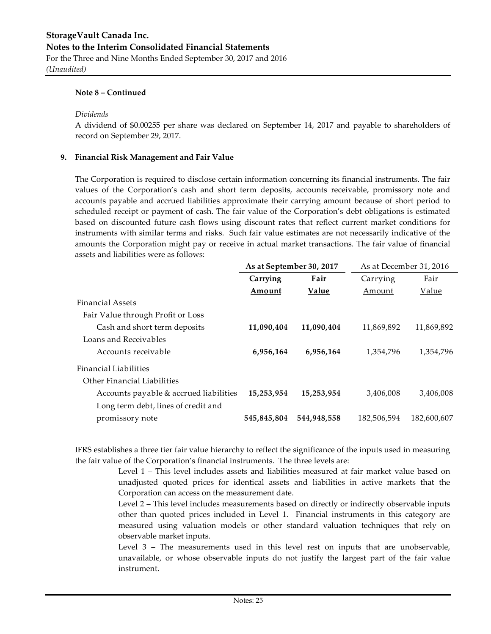*(Unaudited)*

#### **Note 8 – Continued**

#### *Dividends*

A dividend of \$0.00255 per share was declared on September 14, 2017 and payable to shareholders of record on September 29, 2017.

#### **9. Financial Risk Management and Fair Value**

The Corporation is required to disclose certain information concerning its financial instruments. The fair values of the Corporation's cash and short term deposits, accounts receivable, promissory note and accounts payable and accrued liabilities approximate their carrying amount because of short period to scheduled receipt or payment of cash. The fair value of the Corporation's debt obligations is estimated based on discounted future cash flows using discount rates that reflect current market conditions for instruments with similar terms and risks. Such fair value estimates are not necessarily indicative of the amounts the Corporation might pay or receive in actual market transactions. The fair value of financial assets and liabilities were as follows:

|                                        | As at September 30, 2017 |             | As at December 31, 2016 |              |  |
|----------------------------------------|--------------------------|-------------|-------------------------|--------------|--|
|                                        | Carrying                 | Fair        | Carrying                | Fair         |  |
|                                        | Amount                   | Value       | Amount                  | <u>Value</u> |  |
| <b>Financial Assets</b>                |                          |             |                         |              |  |
| Fair Value through Profit or Loss      |                          |             |                         |              |  |
| Cash and short term deposits           | 11,090,404               | 11,090,404  | 11,869,892              | 11,869,892   |  |
| Loans and Receivables                  |                          |             |                         |              |  |
| Accounts receivable                    | 6,956,164                | 6,956,164   | 1,354,796               | 1,354,796    |  |
| Financial Liabilities                  |                          |             |                         |              |  |
| Other Financial Liabilities            |                          |             |                         |              |  |
| Accounts payable & accrued liabilities | 15,253,954               | 15,253,954  | 3,406,008               | 3,406,008    |  |
| Long term debt, lines of credit and    |                          |             |                         |              |  |
| promissory note                        | 545,845,804              | 544,948,558 | 182.506.594             | 182,600,607  |  |
|                                        |                          |             |                         |              |  |

IFRS establishes a three tier fair value hierarchy to reflect the significance of the inputs used in measuring the fair value of the Corporation's financial instruments. The three levels are:

> Level 1 – This level includes assets and liabilities measured at fair market value based on unadjusted quoted prices for identical assets and liabilities in active markets that the Corporation can access on the measurement date.

> Level 2 – This level includes measurements based on directly or indirectly observable inputs other than quoted prices included in Level 1. Financial instruments in this category are measured using valuation models or other standard valuation techniques that rely on observable market inputs.

> Level 3 – The measurements used in this level rest on inputs that are unobservable, unavailable, or whose observable inputs do not justify the largest part of the fair value instrument.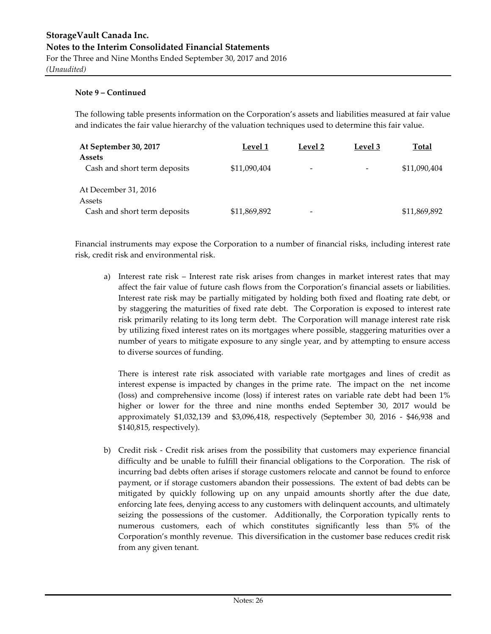The following table presents information on the Corporation's assets and liabilities measured at fair value and indicates the fair value hierarchy of the valuation techniques used to determine this fair value.

| At September 30, 2017        | Level 1      | Level 2                  | Level 3 | <u>Total</u> |
|------------------------------|--------------|--------------------------|---------|--------------|
| <b>Assets</b>                |              |                          |         |              |
| Cash and short term deposits | \$11,090,404 | $\overline{\phantom{a}}$ |         | \$11,090,404 |
| At December 31, 2016         |              |                          |         |              |
| Assets                       |              |                          |         |              |
| Cash and short term deposits | \$11,869,892 | $\overline{\phantom{0}}$ |         | \$11,869,892 |

Financial instruments may expose the Corporation to a number of financial risks, including interest rate risk, credit risk and environmental risk.

a) Interest rate risk – Interest rate risk arises from changes in market interest rates that may affect the fair value of future cash flows from the Corporation's financial assets or liabilities. Interest rate risk may be partially mitigated by holding both fixed and floating rate debt, or by staggering the maturities of fixed rate debt. The Corporation is exposed to interest rate risk primarily relating to its long term debt. The Corporation will manage interest rate risk by utilizing fixed interest rates on its mortgages where possible, staggering maturities over a number of years to mitigate exposure to any single year, and by attempting to ensure access to diverse sources of funding.

There is interest rate risk associated with variable rate mortgages and lines of credit as interest expense is impacted by changes in the prime rate. The impact on the net income (loss) and comprehensive income (loss) if interest rates on variable rate debt had been 1% higher or lower for the three and nine months ended September 30, 2017 would be approximately \$1,032,139 and \$3,096,418, respectively (September 30, 2016 - \$46,938 and \$140,815, respectively).

b) Credit risk - Credit risk arises from the possibility that customers may experience financial difficulty and be unable to fulfill their financial obligations to the Corporation. The risk of incurring bad debts often arises if storage customers relocate and cannot be found to enforce payment, or if storage customers abandon their possessions. The extent of bad debts can be mitigated by quickly following up on any unpaid amounts shortly after the due date, enforcing late fees, denying access to any customers with delinquent accounts, and ultimately seizing the possessions of the customer. Additionally, the Corporation typically rents to numerous customers, each of which constitutes significantly less than 5% of the Corporation's monthly revenue. This diversification in the customer base reduces credit risk from any given tenant.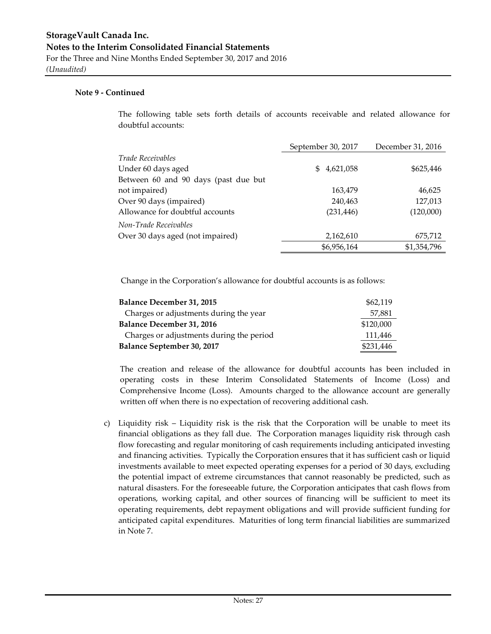#### **Note 9 - Continued**

The following table sets forth details of accounts receivable and related allowance for doubtful accounts:

|                                      | September 30, 2017 | December 31, 2016 |
|--------------------------------------|--------------------|-------------------|
| <i>Trade Receivables</i>             |                    |                   |
| Under 60 days aged                   | 4,621,058<br>S     | \$625,446         |
| Between 60 and 90 days (past due but |                    |                   |
| not impaired)                        | 163,479            | 46,625            |
| Over 90 days (impaired)              | 240,463            | 127,013           |
| Allowance for doubtful accounts      | (231, 446)         | (120,000)         |
| Non-Trade Receivables                |                    |                   |
| Over 30 days aged (not impaired)     | 2,162,610          | 675,712           |
|                                      | \$6,956,164        | \$1,354,796       |

Change in the Corporation's allowance for doubtful accounts is as follows:

| <b>Balance December 31, 2015</b>         | \$62,119  |  |  |  |  |
|------------------------------------------|-----------|--|--|--|--|
| Charges or adjustments during the year   | 57,881    |  |  |  |  |
| <b>Balance December 31, 2016</b>         | \$120,000 |  |  |  |  |
| Charges or adjustments during the period | 111,446   |  |  |  |  |
| Balance September 30, 2017               |           |  |  |  |  |

The creation and release of the allowance for doubtful accounts has been included in operating costs in these Interim Consolidated Statements of Income (Loss) and Comprehensive Income (Loss). Amounts charged to the allowance account are generally written off when there is no expectation of recovering additional cash.

c) Liquidity risk – Liquidity risk is the risk that the Corporation will be unable to meet its financial obligations as they fall due. The Corporation manages liquidity risk through cash flow forecasting and regular monitoring of cash requirements including anticipated investing and financing activities. Typically the Corporation ensures that it has sufficient cash or liquid investments available to meet expected operating expenses for a period of 30 days, excluding the potential impact of extreme circumstances that cannot reasonably be predicted, such as natural disasters. For the foreseeable future, the Corporation anticipates that cash flows from operations, working capital, and other sources of financing will be sufficient to meet its operating requirements, debt repayment obligations and will provide sufficient funding for anticipated capital expenditures. Maturities of long term financial liabilities are summarized in Note 7.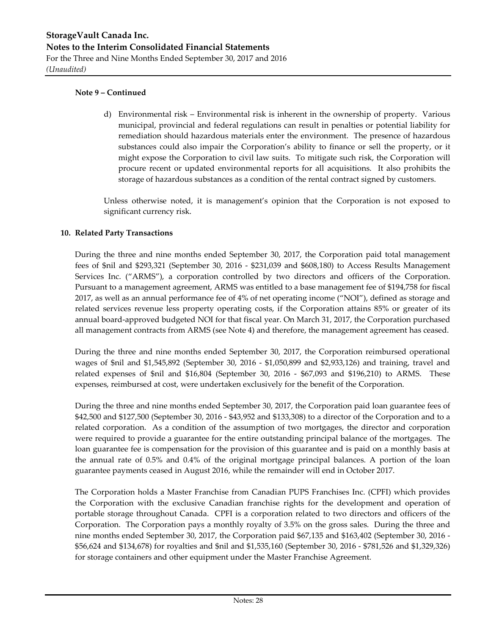d) Environmental risk – Environmental risk is inherent in the ownership of property. Various municipal, provincial and federal regulations can result in penalties or potential liability for remediation should hazardous materials enter the environment. The presence of hazardous substances could also impair the Corporation's ability to finance or sell the property, or it might expose the Corporation to civil law suits. To mitigate such risk, the Corporation will procure recent or updated environmental reports for all acquisitions. It also prohibits the storage of hazardous substances as a condition of the rental contract signed by customers.

Unless otherwise noted, it is management's opinion that the Corporation is not exposed to significant currency risk.

#### **10. Related Party Transactions**

During the three and nine months ended September 30, 2017, the Corporation paid total management fees of \$nil and \$293,321 (September 30, 2016 - \$231,039 and \$608,180) to Access Results Management Services Inc. ("ARMS"), a corporation controlled by two directors and officers of the Corporation. Pursuant to a management agreement, ARMS was entitled to a base management fee of \$194,758 for fiscal 2017, as well as an annual performance fee of 4% of net operating income ("NOI"), defined as storage and related services revenue less property operating costs, if the Corporation attains 85% or greater of its annual board-approved budgeted NOI for that fiscal year. On March 31, 2017, the Corporation purchased all management contracts from ARMS (see Note 4) and therefore, the management agreement has ceased.

During the three and nine months ended September 30, 2017, the Corporation reimbursed operational wages of \$nil and \$1,545,892 (September 30, 2016 - \$1,050,899 and \$2,933,126) and training, travel and related expenses of \$nil and \$16,804 (September 30, 2016 - \$67,093 and \$196,210) to ARMS. These expenses, reimbursed at cost, were undertaken exclusively for the benefit of the Corporation.

During the three and nine months ended September 30, 2017, the Corporation paid loan guarantee fees of \$42,500 and \$127,500 (September 30, 2016 - \$43,952 and \$133,308) to a director of the Corporation and to a related corporation. As a condition of the assumption of two mortgages, the director and corporation were required to provide a guarantee for the entire outstanding principal balance of the mortgages. The loan guarantee fee is compensation for the provision of this guarantee and is paid on a monthly basis at the annual rate of 0.5% and 0.4% of the original mortgage principal balances. A portion of the loan guarantee payments ceased in August 2016, while the remainder will end in October 2017.

The Corporation holds a Master Franchise from Canadian PUPS Franchises Inc. (CPFI) which provides the Corporation with the exclusive Canadian franchise rights for the development and operation of portable storage throughout Canada. CPFI is a corporation related to two directors and officers of the Corporation. The Corporation pays a monthly royalty of 3.5% on the gross sales. During the three and nine months ended September 30, 2017, the Corporation paid \$67,135 and \$163,402 (September 30, 2016 - \$56,624 and \$134,678) for royalties and \$nil and \$1,535,160 (September 30, 2016 - \$781,526 and \$1,329,326) for storage containers and other equipment under the Master Franchise Agreement.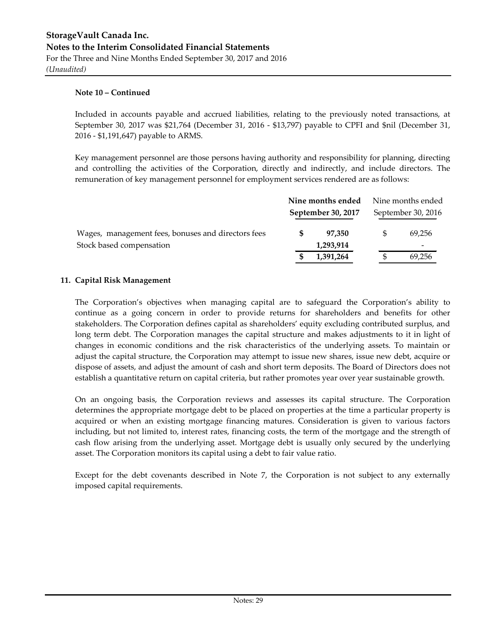Included in accounts payable and accrued liabilities, relating to the previously noted transactions, at September 30, 2017 was \$21,764 (December 31, 2016 - \$13,797) payable to CPFI and \$nil (December 31, 2016 - \$1,191,647) payable to ARMS.

Key management personnel are those persons having authority and responsibility for planning, directing and controlling the activities of the Corporation, directly and indirectly, and include directors. The remuneration of key management personnel for employment services rendered are as follows:

|                                                    | Nine months ended  | Nine months ended        |
|----------------------------------------------------|--------------------|--------------------------|
|                                                    | September 30, 2017 | September 30, 2016       |
| Wages, management fees, bonuses and directors fees | 97.350             | 69.256                   |
| Stock based compensation                           | 1,293,914          | $\overline{\phantom{0}}$ |
|                                                    | 1,391,264          | 69.256                   |

#### **11. Capital Risk Management**

The Corporation's objectives when managing capital are to safeguard the Corporation's ability to continue as a going concern in order to provide returns for shareholders and benefits for other stakeholders. The Corporation defines capital as shareholders' equity excluding contributed surplus, and long term debt. The Corporation manages the capital structure and makes adjustments to it in light of changes in economic conditions and the risk characteristics of the underlying assets. To maintain or adjust the capital structure, the Corporation may attempt to issue new shares, issue new debt, acquire or dispose of assets, and adjust the amount of cash and short term deposits. The Board of Directors does not establish a quantitative return on capital criteria, but rather promotes year over year sustainable growth.

On an ongoing basis, the Corporation reviews and assesses its capital structure. The Corporation determines the appropriate mortgage debt to be placed on properties at the time a particular property is acquired or when an existing mortgage financing matures. Consideration is given to various factors including, but not limited to, interest rates, financing costs, the term of the mortgage and the strength of cash flow arising from the underlying asset. Mortgage debt is usually only secured by the underlying asset. The Corporation monitors its capital using a debt to fair value ratio.

Except for the debt covenants described in Note 7, the Corporation is not subject to any externally imposed capital requirements.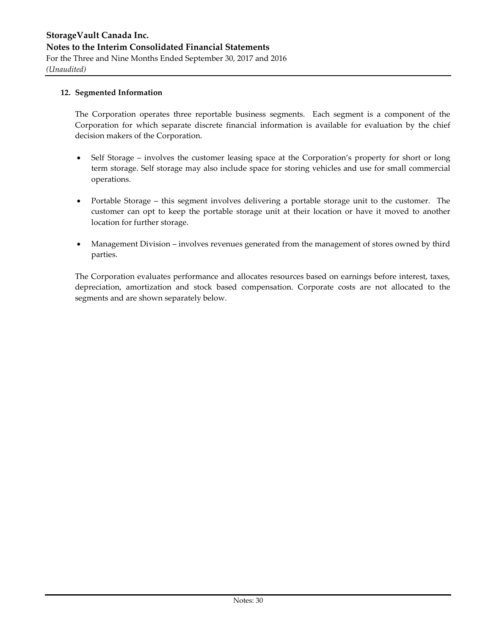#### **12. Segmented Information**

The Corporation operates three reportable business segments. Each segment is a component of the Corporation for which separate discrete financial information is available for evaluation by the chief decision makers of the Corporation.

- Self Storage involves the customer leasing space at the Corporation's property for short or long term storage. Self storage may also include space for storing vehicles and use for small commercial operations.
- Portable Storage this segment involves delivering a portable storage unit to the customer. The customer can opt to keep the portable storage unit at their location or have it moved to another location for further storage.
- Management Division involves revenues generated from the management of stores owned by third parties.

The Corporation evaluates performance and allocates resources based on earnings before interest, taxes, depreciation, amortization and stock based compensation. Corporate costs are not allocated to the segments and are shown separately below.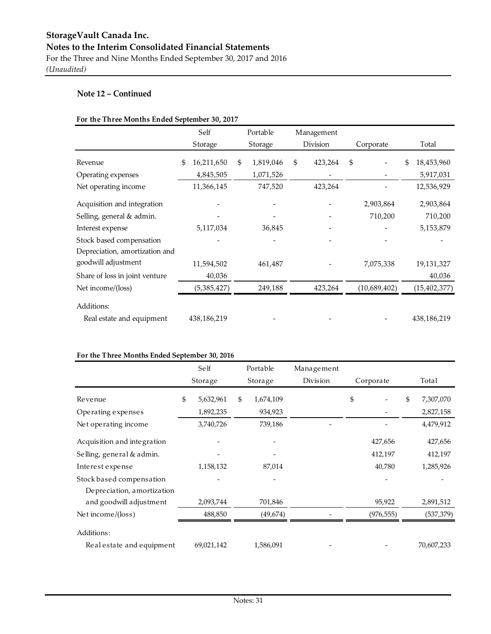#### **For the Three Months Ended September 30, 2017**

|                                | Self             | Portable        | Management    |              |                  |
|--------------------------------|------------------|-----------------|---------------|--------------|------------------|
|                                | Storage          | Storage         | Division      | Corporate    | Total            |
| Revenue                        | \$<br>16,211,650 | \$<br>1,819,046 | \$<br>423,264 | \$           | \$<br>18,453,960 |
| Operating expenses             | 4,845,505        | 1,071,526       |               |              | 5,917,031        |
| Net operating income           | 11,366,145       | 747,520         | 423,264       |              | 12,536,929       |
| Acquisition and integration    |                  |                 |               | 2,903,864    | 2,903,864        |
| Selling, general & admin.      |                  |                 |               | 710,200      | 710,200          |
| Interest expense               | 5,117,034        | 36,845          |               |              | 5,153,879        |
| Stock based compensation       |                  |                 |               |              |                  |
| Depreciation, amortization and |                  |                 |               |              |                  |
| goodwill adjustment            | 11,594,502       | 461,487         |               | 7,075,338    | 19,131,327       |
| Share of loss in joint venture | 40,036           |                 |               |              | 40,036           |
| Net income/(loss)              | (5, 385, 427)    | 249,188         | 423,264       | (10,689,402) | (15, 402, 377)   |
| Additions:                     |                  |                 |               |              |                  |
| Real estate and equipment      | 438,186,219      |                 |               |              | 438,186,219      |

#### **For the Three Months Ended September 30, 2016**

|                             | Self            | Portable        | Management |            |                 |
|-----------------------------|-----------------|-----------------|------------|------------|-----------------|
|                             | Storage         | Storage         | Division   | Corporate  | Total           |
| Revenue                     | \$<br>5,632,961 | \$<br>1,674,109 |            | \$         | \$<br>7,307,070 |
| Operating expenses          | 1,892,235       | 934,923         |            |            | 2,827,158       |
| Net operating income        | 3,740,726       | 739,186         |            |            | 4,479,912       |
| Acquisition and integration |                 |                 |            | 427,656    | 427,656         |
| Selling, general & admin.   |                 |                 |            | 412,197    | 412,197         |
| Interest expense            | 1,158,132       | 87,014          |            | 40,780     | 1,285,926       |
| Stock based compensation    |                 |                 |            |            |                 |
| De preciation, amortization |                 |                 |            |            |                 |
| and goodwill adjustment     | 2,093,744       | 701,846         |            | 95,922     | 2,891,512       |
| Net income/(loss)           | 488,850         | (49,674)        |            | (976, 555) | (537, 379)      |
| Additions:                  |                 |                 |            |            |                 |
| Real estate and equipment   | 69,021,142      | 1,586,091       |            |            | 70,607,233      |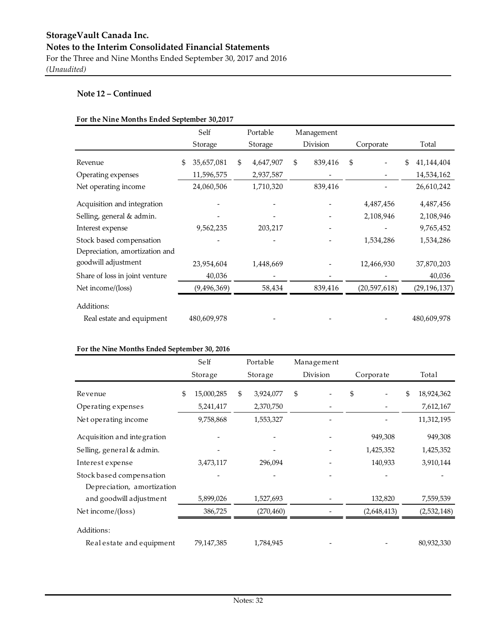#### **For the Nine Months Ended September 30,2017**

|                                | Self             | Portable        | Management    |                |                  |
|--------------------------------|------------------|-----------------|---------------|----------------|------------------|
|                                | Storage          | Storage         | Division      | Corporate      | Total            |
| Revenue                        | \$<br>35,657,081 | \$<br>4,647,907 | \$<br>839,416 | \$             | \$<br>41,144,404 |
| Operating expenses             | 11,596,575       | 2,937,587       |               |                | 14,534,162       |
| Net operating income           | 24,060,506       | 1,710,320       | 839,416       |                | 26,610,242       |
| Acquisition and integration    |                  |                 |               | 4,487,456      | 4,487,456        |
| Selling, general & admin.      |                  |                 |               | 2,108,946      | 2,108,946        |
| Interest expense               | 9,562,235        | 203,217         |               |                | 9,765,452        |
| Stock based compensation       |                  |                 |               | 1,534,286      | 1,534,286        |
| Depreciation, amortization and |                  |                 |               |                |                  |
| goodwill adjustment            | 23,954,604       | 1,448,669       |               | 12,466,930     | 37,870,203       |
| Share of loss in joint venture | 40,036           |                 |               |                | 40,036           |
| Net income/(loss)              | (9, 496, 369)    | 58,434          | 839,416       | (20, 597, 618) | (29, 196, 137)   |
| Additions:                     |                  |                 |               |                |                  |
| Real estate and equipment      | 480,609,978      |                 |               |                | 480,609,978      |

#### **For the Nine Months Ended September 30, 2016**

|                                                         | Self             | Portable        | Management |             |                  |
|---------------------------------------------------------|------------------|-----------------|------------|-------------|------------------|
|                                                         | Storage          | Storage         | Division   | Corporate   | Total            |
| Revenue                                                 | \$<br>15,000,285 | \$<br>3,924,077 | \$         | \$          | \$<br>18,924,362 |
| Operating expenses                                      | 5,241,417        | 2,370,750       |            |             | 7,612,167        |
| Net operating income                                    | 9,758,868        | 1,553,327       |            |             | 11,312,195       |
| Acquisition and integration                             |                  |                 |            | 949,308     | 949,308          |
| Selling, general & admin.                               |                  |                 |            | 1,425,352   | 1,425,352        |
| Interest expense                                        | 3,473,117        | 296,094         |            | 140,933     | 3,910,144        |
| Stock based compensation<br>De preciation, amortization |                  |                 |            |             |                  |
| and goodwill adjustment                                 | 5,899,026        | 1,527,693       |            | 132,820     | 7,559,539        |
| Net income/(loss)                                       | 386,725          | (270, 460)      |            | (2,648,413) | (2,532,148)      |
| Additions:                                              |                  |                 |            |             |                  |
| Real estate and equipment                               | 79,147,385       | 1,784,945       |            |             | 80,932,330       |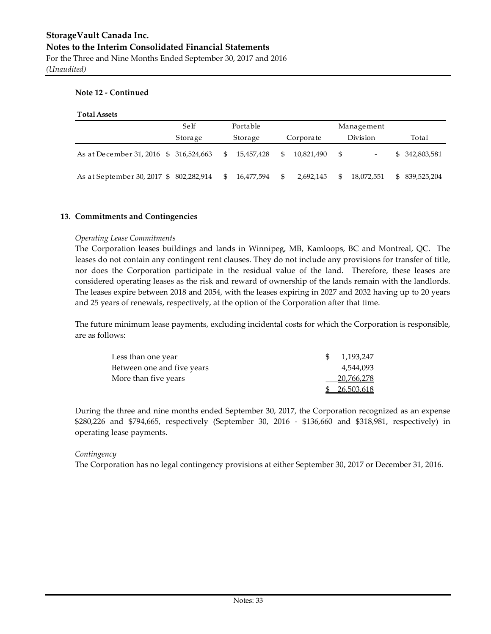*(Unaudited)*

#### **Note 12 - Continued**

| <b>Total Assets</b> |
|---------------------|
|---------------------|

|                                           | Self    |     | Portable   |              |            | Management                     |                |
|-------------------------------------------|---------|-----|------------|--------------|------------|--------------------------------|----------------|
|                                           | Storage |     | Storage    |              | Corporate  | Division                       | Total          |
| As at December 31, 2016 \$ 316,524,663    |         | \$. | 15.457.428 | SS.          | 10,821,490 | \$<br>$\overline{\phantom{a}}$ | \$ 342,803,581 |
| As at September 30, 2017 \$ 802, 282, 914 |         | \$. | 16,477,594 | $\mathbb{S}$ | 2,692,145  | \$<br>18,072,551               | \$ 839,525,204 |

#### **13. Commitments and Contingencies**

#### *Operating Lease Commitments*

The Corporation leases buildings and lands in Winnipeg, MB, Kamloops, BC and Montreal, QC. The leases do not contain any contingent rent clauses. They do not include any provisions for transfer of title, nor does the Corporation participate in the residual value of the land. Therefore, these leases are considered operating leases as the risk and reward of ownership of the lands remain with the landlords. The leases expire between 2018 and 2054, with the leases expiring in 2027 and 2032 having up to 20 years and 25 years of renewals, respectively, at the option of the Corporation after that time.

The future minimum lease payments, excluding incidental costs for which the Corporation is responsible, are as follows:

| Less than one year         | 1.193.247    |
|----------------------------|--------------|
| Between one and five years | 4.544.093    |
| More than five years       | 20,766,278   |
|                            | \$26,503,618 |

During the three and nine months ended September 30, 2017, the Corporation recognized as an expense \$280,226 and \$794,665, respectively (September 30, 2016 - \$136,660 and \$318,981, respectively) in operating lease payments.

#### *Contingency*

The Corporation has no legal contingency provisions at either September 30, 2017 or December 31, 2016.